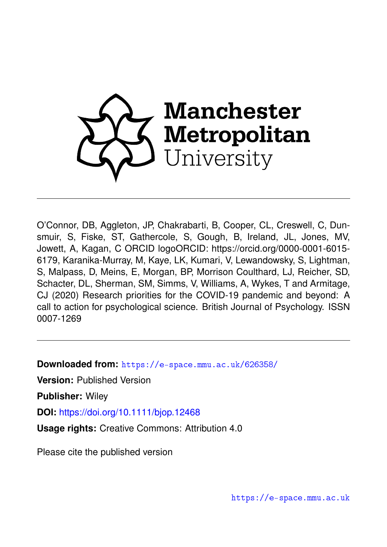

O'Connor, DB, Aggleton, JP, Chakrabarti, B, Cooper, CL, Creswell, C, Dunsmuir, S, Fiske, ST, Gathercole, S, Gough, B, Ireland, JL, Jones, MV, Jowett, A, Kagan, C ORCID logoORCID: https://orcid.org/0000-0001-6015- 6179, Karanika-Murray, M, Kaye, LK, Kumari, V, Lewandowsky, S, Lightman, S, Malpass, D, Meins, E, Morgan, BP, Morrison Coulthard, LJ, Reicher, SD, Schacter, DL, Sherman, SM, Simms, V, Williams, A, Wykes, T and Armitage, CJ (2020) Research priorities for the COVID-19 pandemic and beyond: A call to action for psychological science. British Journal of Psychology. ISSN 0007-1269

**Downloaded from:** <https://e-space.mmu.ac.uk/626358/>

**Version:** Published Version

**Publisher:** Wiley

**DOI:** <https://doi.org/10.1111/bjop.12468>

**Usage rights:** Creative Commons: Attribution 4.0

Please cite the published version

<https://e-space.mmu.ac.uk>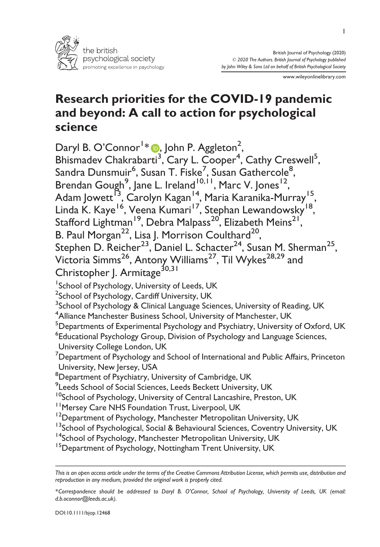

www.wileyonlinelibrary.com

# Research priorities for the COVID-19 pandemic and beyond: A call to action for psychological science

Daryl B. O'Connor<sup>1</sup>\* **D**, John P. Aggleton<sup>2</sup>, Bhismadev Chakrabarti<sup>[3](https://orcid.org/0000-0003-4117-4093)</sup>, Cary L. Cooper<sup>4</sup>, Cathy Creswell<sup>5</sup>, Sandra Dunsmuir<sup>6</sup>, Susan T. Fiske<sup>7</sup>, Susan Gathercole<sup>8</sup>, Brendan Gough<sup>9</sup>, Jane L. Ireland<sup>10,11</sup>, Marc V. Jones<sup>12</sup>, Adam Jowett<sup>13</sup>, Carolyn Kagan<sup>14</sup>, Maria Karanika-Murray<sup>15</sup>, Linda K. Kaye<sup>16</sup>, Veena Kumari<sup>17</sup>, Stephan Lewandowsky<sup>18</sup>, Stafford Lightman<sup>19</sup>, Debra Malpass<sup>20</sup>, Elizabeth Meins<sup>21</sup>, B. Paul Morgan<sup>22</sup>, Lisa J. Morrison Coulthard<sup>20</sup>, Stephen D. Reicher<sup>23</sup>, Daniel L. Schacter<sup>24</sup>, Susan M. Sherman<sup>25</sup>, Victoria Simms<sup>26</sup>, Antony Williams<sup>27</sup>, Til Wykes<sup>28,29</sup> and Christopher J. Armitage<sup>30,31</sup> <sup>1</sup>School of Psychology, University of Leeds, UK <sup>2</sup>School of Psychology, Cardiff University, UK <sup>3</sup>School of Psychology & Clinical Language Sciences, University of Reading, UK 4 Alliance Manchester Business School, University of Manchester, UK  $^5$ Departments of Experimental Psychology and Psychiatry, University of Oxford, UK 6 Educational Psychology Group, Division of Psychology and Language Sciences, University College London, UK  ${\rm ^7}$ Department of Psychology and School of International and Public Affairs, Princeton University, New Jersey, USA <sup>8</sup>Department of Psychiatry, University of Cambridge, UK 9 Leeds School of Social Sciences, Leeds Beckett University, UK <sup>10</sup>School of Psychology, University of Central Lancashire, Preston, UK 11Mersey Care NHS Foundation Trust, Liverpool, UK <sup>12</sup> Department of Psychology, Manchester Metropolitan University, UK <sup>13</sup>School of Psychological, Social & Behavioural Sciences, Coventry University, UK <sup>14</sup>School of Psychology, Manchester Metropolitan University, UK <sup>15</sup>Department of Psychology, Nottingham Trent University, UK

This is an open access article under the terms of the [Creative Commons Attribution](http://creativecommons.org/licenses/by/4.0/) License, which permits use, distribution and reproduction in any medium, provided the original work is properly cited.

<sup>\*</sup>Correspondence should be addressed to Daryl B. O'Connor, School of Psychology, University of Leeds, UK (email: [d.b.oconnor@leeds.ac.uk](mailto:)).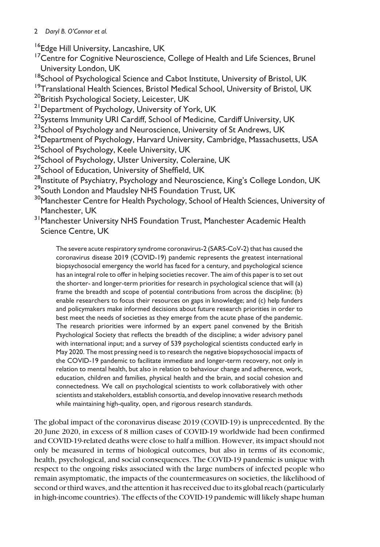# 2 Daryl B. O'Connor et al.

<sup>16</sup>Edge Hill University, Lancashire, UK

<sup>17</sup>Centre for Cognitive Neuroscience, College of Health and Life Sciences, Brunel University London, UK

<sup>18</sup>School of Psychological Science and Cabot Institute, University of Bristol, UK

19Translational Health Sciences, Bristol Medical School, University of Bristol, UK

<sup>20</sup>British Psychological Society, Leicester, UK

<sup>21</sup> Department of Psychology, University of York, UK

<sup>22</sup>Systems Immunity URI Cardiff, School of Medicine, Cardiff University, UK

<sup>23</sup>School of Psychology and Neuroscience, University of St Andrews, UK

<sup>24</sup>Department of Psychology, Harvard University, Cambridge, Massachusetts, USA <sup>25</sup>School of Psychology, Keele University, UK

<sup>26</sup>School of Psychology, Ulster University, Coleraine, UK

- <sup>27</sup>School of Education, University of Sheffield, UK
- <sup>28</sup>Institute of Psychiatry, Psychology and Neuroscience, King's College London, UK <sup>29</sup>South London and Maudsley NHS Foundation Trust, UK
- <sup>30</sup>Manchester Centre for Health Psychology, School of Health Sciences, University of Manchester, UK
- <sup>31</sup> Manchester University NHS Foundation Trust, Manchester Academic Health Science Centre, UK

The severe acute respiratory syndrome coronavirus-2 (SARS-CoV-2) that has caused the coronavirus disease 2019 (COVID-19) pandemic represents the greatest international biopsychosocial emergency the world has faced for a century, and psychological science has an integral role to offer in helping societies recover. The aim of this paper is to set out the shorter- and longer-term priorities for research in psychological science that will (a) frame the breadth and scope of potential contributions from across the discipline; (b) enable researchers to focus their resources on gaps in knowledge; and (c) help funders and policymakers make informed decisions about future research priorities in order to best meet the needs of societies as they emerge from the acute phase of the pandemic. The research priorities were informed by an expert panel convened by the British Psychological Society that reflects the breadth of the discipline; a wider advisory panel with international input; and a survey of 539 psychological scientists conducted early in May 2020. The most pressing need is to research the negative biopsychosocial impacts of the COVID-19 pandemic to facilitate immediate and longer-term recovery, not only in relation to mental health, but also in relation to behaviour change and adherence, work, education, children and families, physical health and the brain, and social cohesion and connectedness. We call on psychological scientists to work collaboratively with other scientists and stakeholders, establish consortia, and develop innovative research methods while maintaining high-quality, open, and rigorous research standards.

The global impact of the coronavirus disease 2019 (COVID-19) is unprecedented. By the 20 June 2020, in excess of 8 million cases of COVID-19 worldwide had been confirmed and COVID-19-related deaths were close to half a million. However, its impact should not only be measured in terms of biological outcomes, but also in terms of its economic, health, psychological, and social consequences. The COVID-19 pandemic is unique with respect to the ongoing risks associated with the large numbers of infected people who remain asymptomatic, the impacts of the countermeasures on societies, the likelihood of second or third waves, and the attention it has received due to its global reach (particularly in high-income countries). The effects of the COVID-19 pandemic will likely shape human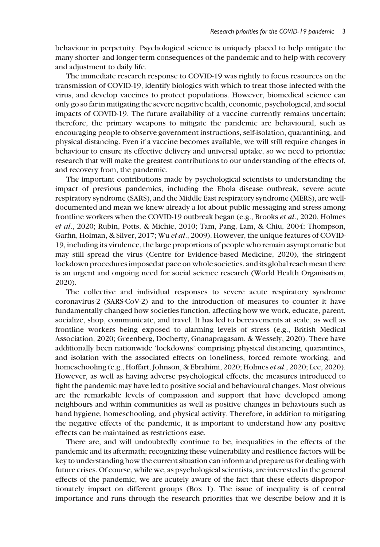behaviour in perpetuity. Psychological science is uniquely placed to help mitigate the many shorter- and longer-term consequences of the pandemic and to help with recovery and adjustment to daily life.

The immediate research response to COVID-19 was rightly to focus resources on the transmission of COVID-19, identify biologics with which to treat those infected with the virus, and develop vaccines to protect populations. However, biomedical science can only go so far in mitigating the severe negative health, economic, psychological, and social impacts of COVID-19. The future availability of a vaccine currently remains uncertain; therefore, the primary weapons to mitigate the pandemic are behavioural, such as encouraging people to observe government instructions, self-isolation, quarantining, and physical distancing. Even if a vaccine becomes available, we will still require changes in behaviour to ensure its effective delivery and universal uptake, so we need to prioritize research that will make the greatest contributions to our understanding of the effects of, and recovery from, the pandemic.

The important contributions made by psychological scientists to understanding the impact of previous pandemics, including the Ebola disease outbreak, severe acute respiratory syndrome (SARS), and the Middle East respiratory syndrome (MERS), are welldocumented and mean we knew already a lot about public messaging and stress among frontline workers when the COVID-19 outbreak began (e.g., Brooks et al., 2020, Holmes et al., 2020; Rubin, Potts, & Michie, 2010; Tam, Pang, Lam, & Chiu, 2004; Thompson, Garfin, Holman, & Silver, 2017; Wu et al., 2009). However, the unique features of COVID-19, including its virulence, the large proportions of people who remain asymptomatic but may still spread the virus (Centre for Evidence-based Medicine, 2020), the stringent lockdown procedures imposed at pace on whole societies, and its global reach mean there is an urgent and ongoing need for social science research (World Health Organisation, 2020).

The collective and individual responses to severe acute respiratory syndrome coronavirus-2 (SARS-CoV-2) and to the introduction of measures to counter it have fundamentally changed how societies function, affecting how we work, educate, parent, socialize, shop, communicate, and travel. It has led to bereavements at scale, as well as frontline workers being exposed to alarming levels of stress (e.g., British Medical Association, 2020; Greenberg, Docherty, Gnanapragasam, & Wessely, 2020). There have additionally been nationwide 'lockdowns' comprising physical distancing, quarantines, and isolation with the associated effects on loneliness, forced remote working, and homeschooling (e.g., Hoffart, Johnson, & Ebrahimi, 2020; Holmes *et al.*, 2020; Lee, 2020). However, as well as having adverse psychological effects, the measures introduced to fight the pandemic may have led to positive social and behavioural changes. Most obvious are the remarkable levels of compassion and support that have developed among neighbours and within communities as well as positive changes in behaviours such as hand hygiene, homeschooling, and physical activity. Therefore, in addition to mitigating the negative effects of the pandemic, it is important to understand how any positive effects can be maintained as restrictions ease.

There are, and will undoubtedly continue to be, inequalities in the effects of the pandemic and its aftermath; recognizing these vulnerability and resilience factors will be key to understanding how the current situation can inform and prepare us for dealing with future crises. Of course, while we, as psychological scientists, are interested in the general effects of the pandemic, we are acutely aware of the fact that these effects disproportionately impact on different groups (Box 1). The issue of inequality is of central importance and runs through the research priorities that we describe below and it is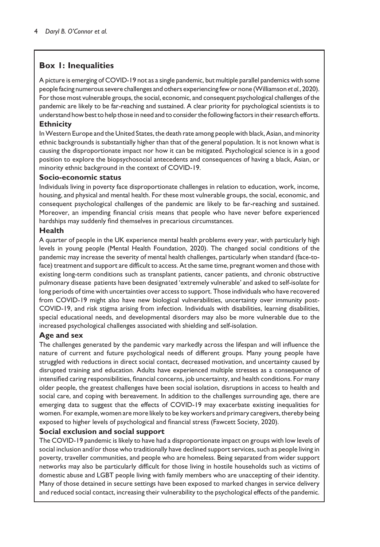# Box 1: Inequalities

A picture is emerging of COVID-19 not as a single pandemic, but multiple parallel pandemics with some people facing numerous severe challenges and others experiencing few or none (Williamson et al., 2020). For those most vulnerable groups, the social, economic, and consequent psychological challenges of the pandemic are likely to be far-reaching and sustained. A clear priority for psychological scientists is to understand how best to help those in need and to consider the following factors in their research efforts.

# **Ethnicity**

InWestern Europe and the United States, the death rate among people with black, Asian, and minority ethnic backgrounds is substantially higher than that of the general population. It is not known what is causing the disproportionate impact nor how it can be mitigated. Psychological science is in a good position to explore the biopsychosocial antecedents and consequences of having a black, Asian, or minority ethnic background in the context of COVID-19.

# Socio-economic status

Individuals living in poverty face disproportionate challenges in relation to education, work, income, housing, and physical and mental health. For these most vulnerable groups, the social, economic, and consequent psychological challenges of the pandemic are likely to be far-reaching and sustained. Moreover, an impending financial crisis means that people who have never before experienced hardships may suddenly find themselves in precarious circumstances.

# Health

A quarter of people in the UK experience mental health problems every year, with particularly high levels in young people (Mental Health Foundation, 2020). The changed social conditions of the pandemic may increase the severity of mental health challenges, particularly when standard (face-toface) treatment and support are difficult to access. At the same time, pregnant women and those with existing long-term conditions such as transplant patients, cancer patients, and chronic obstructive pulmonary disease patients have been designated 'extremely vulnerable' and asked to self-isolate for long periods of time with uncertainties over access to support. Those individuals who have recovered from COVID-19 might also have new biological vulnerabilities, uncertainty over immunity post-COVID-19, and risk stigma arising from infection. Individuals with disabilities, learning disabilities, special educational needs, and developmental disorders may also be more vulnerable due to the increased psychological challenges associated with shielding and self-isolation.

# Age and sex

The challenges generated by the pandemic vary markedly across the lifespan and will influence the nature of current and future psychological needs of different groups. Many young people have struggled with reductions in direct social contact, decreased motivation, and uncertainty caused by disrupted training and education. Adults have experienced multiple stresses as a consequence of intensified caring responsibilities, financial concerns, job uncertainty, and health conditions. For many older people, the greatest challenges have been social isolation, disruptions in access to health and social care, and coping with bereavement. In addition to the challenges surrounding age, there are emerging data to suggest that the effects of COVID-19 may exacerbate existing inequalities for women. For example, women are more likely to be key workers and primary caregivers, thereby being exposed to higher levels of psychological and financial stress (Fawcett Society, 2020).

# Social exclusion and social support

The COVID-19 pandemic is likely to have had a disproportionate impact on groups with low levels of social inclusion and/or those who traditionally have declined support services, such as people living in poverty, traveller communities, and people who are homeless. Being separated from wider support networks may also be particularly difficult for those living in hostile households such as victims of domestic abuse and LGBT people living with family members who are unaccepting of their identity. Many of those detained in secure settings have been exposed to marked changes in service delivery and reduced social contact, increasing their vulnerability to the psychological effects of the pandemic.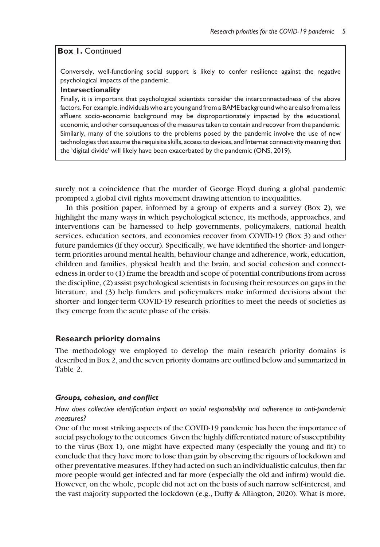# Box I. Continued

Conversely, well-functioning social support is likely to confer resilience against the negative psychological impacts of the pandemic.

#### Intersectionality

Finally, it is important that psychological scientists consider the interconnectedness of the above factors. For example, individuals who are young and from a BAME background who are also from a less affluent socio-economic background may be disproportionately impacted by the educational, economic, and other consequences of the measures taken to contain and recover from the pandemic. Similarly, many of the solutions to the problems posed by the pandemic involve the use of new technologies that assume the requisite skills, access to devices, and Internet connectivity meaning that the 'digital divide' will likely have been exacerbated by the pandemic (ONS, 2019).

surely not a coincidence that the murder of George Floyd during a global pandemic prompted a global civil rights movement drawing attention to inequalities.

In this position paper, informed by a group of experts and a survey (Box 2), we highlight the many ways in which psychological science, its methods, approaches, and interventions can be harnessed to help governments, policymakers, national health services, education sectors, and economies recover from COVID-19 (Box 3) and other future pandemics (if they occur). Specifically, we have identified the shorter- and longerterm priorities around mental health, behaviour change and adherence, work, education, children and families, physical health and the brain, and social cohesion and connectedness in order to (1) frame the breadth and scope of potential contributions from across the discipline, (2) assist psychological scientists in focusing their resources on gaps in the literature, and (3) help funders and policymakers make informed decisions about the shorter- and longer-term COVID-19 research priorities to meet the needs of societies as they emerge from the acute phase of the crisis.

# Research priority domains

The methodology we employed to develop the main research priority domains is described in Box 2, and the seven priority domains are outlined below and summarized in Table 2.

#### Groups, cohesion, and conflict

# How does collective identification impact on social responsibility and adherence to anti-pandemic measures?

One of the most striking aspects of the COVID-19 pandemic has been the importance of social psychology to the outcomes. Given the highly differentiated nature of susceptibility to the virus (Box 1), one might have expected many (especially the young and fit) to conclude that they have more to lose than gain by observing the rigours of lockdown and other preventative measures. If they had acted on such an individualistic calculus, then far more people would get infected and far more (especially the old and infirm) would die. However, on the whole, people did not act on the basis of such narrow self-interest, and the vast majority supported the lockdown (e.g., Duffy & Allington, 2020). What is more,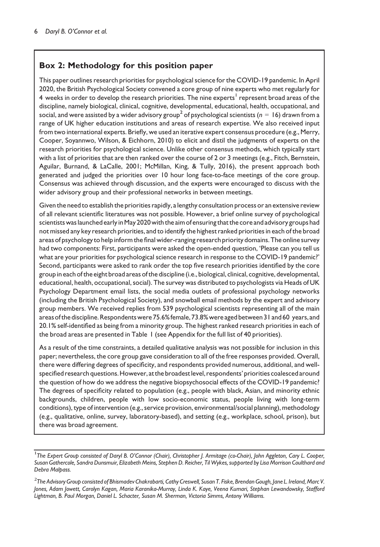# Box 2: Methodology for this position paper

This paper outlines research priorities for psychological science for the COVID-19 pandemic. In April 2020, the British Psychological Society convened a core group of nine experts who met regularly for 4 weeks in order to develop the research priorities. The nine experts<sup>1</sup> represent broad areas of the discipline, namely biological, clinical, cognitive, developmental, educational, health, occupational, and social, and were assisted by a wider advisory group<sup>2</sup> of psychological scientists ( $n = 16$ ) drawn from a range of UK higher education institutions and areas of research expertise. We also received input from two international experts. Briefly, we used an iterative expert consensus procedure (e.g., Merry, Cooper, Soyannwo, Wilson, & Eichhorn, 2010) to elicit and distil the judgments of experts on the research priorities for psychological science. Unlike other consensus methods, which typically start with a list of priorities that are then ranked over the course of 2 or 3 meetings (e.g., Fitch, Bernstein, Aguilar, Burnand, & LaCalle, 2001; McMillan, King, & Tully, 2016), the present approach both generated and judged the priorities over 10 hour long face-to-face meetings of the core group. Consensus was achieved through discussion, and the experts were encouraged to discuss with the wider advisory group and their professional networks in between meetings.

Given the need to establish the priorities rapidly, a lengthy consultation process or an extensive review of all relevant scientific literatures was not possible. However, a brief online survey of psychological scientists was launched early in May 2020 with the aim of ensuring that the core and advisory groups had not missed any key research priorities, and to identify the highest ranked priorities in each of the broad areas of psychology to help inform the final wider-ranging research priority domains. The online survey had two components: First, participants were asked the open-ended question, 'Please can you tell us what are your priorities for psychological science research in response to the COVID-19 pandemic?' Second, participants were asked to rank order the top five research priorities identified by the core group in each of the eight broad areas of the discipline (i.e., biological, clinical, cognitive, developmental, educational, health, occupational, social). The survey was distributed to psychologists via Heads of UK Psychology Department email lists, the social media outlets of professional psychology networks (including the British Psychological Society), and snowball email methods by the expert and advisory group members. We received replies from 539 psychological scientists representing all of the main areas of the discipline. Respondents were 75.6%female, 73.8% were aged between 31 and 60 years, and 20.1% self-identified as being from a minority group. The highest ranked research priorities in each of the broad areas are presented in Table 1 (see Appendix for the full list of 40 priorities).

As a result of the time constraints, a detailed qualitative analysis was not possible for inclusion in this paper; nevertheless, the core group gave consideration to all of the free responses provided. Overall, there were differing degrees of specificity, and respondents provided numerous, additional, and wellspecified research questions. However, at the broadest level, respondents' priorities coalesced around the question of how do we address the negative biopsychosocial effects of the COVID-19 pandemic? The degrees of specificity related to population (e.g., people with black, Asian, and minority ethnic backgrounds, children, people with low socio-economic status, people living with long-term conditions), type of intervention (e.g., service provision, environmental/social planning), methodology (e.g., qualitative, online, survey, laboratory-based), and setting (e.g., workplace, school, prison), but there was broad agreement.

<sup>&</sup>lt;sup>1</sup>The Expert Group consisted of Daryl B. O'Connor (Chair), Christopher J. Armitage (co-Chair), John Aggleton, Cary L. Cooper, Susan Gathercole, Sandra Dunsmuir, Elizabeth Meins, Stephen D. Reicher, Til Wykes, supported by Lisa Morrison Coulthard and Debra Malpass.

 $^2$ The Advisory Group consisted of Bhismadev Chakrabarti, Cathy Creswell, Susan T. Fiske, Brendan Gough, Jane L. Ireland, Marc V. Jones, Adam Jowett, Carolyn Kagan, Maria Karanika-Murray, Linda K. Kaye, Veena Kumari, Stephan Lewandowsky, Stafford Lightman, B. Paul Morgan, Daniel L. Schacter, Susan M. Sherman, Victoria Simms, Antony Williams.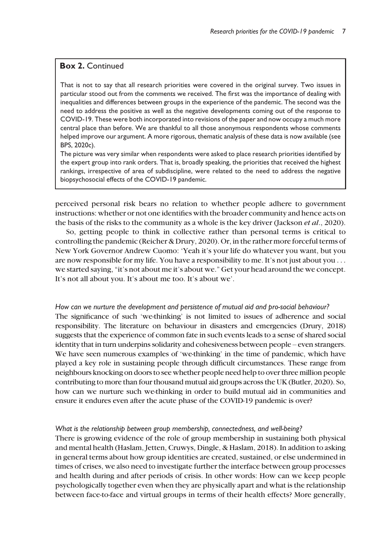# Box 2. Continued

That is not to say that all research priorities were covered in the original survey. Two issues in particular stood out from the comments we received. The first was the importance of dealing with inequalities and differences between groups in the experience of the pandemic. The second was the need to address the positive as well as the negative developments coming out of the response to COVID-19. These were both incorporated into revisions of the paper and now occupy a much more central place than before. We are thankful to all those anonymous respondents whose comments helped improve our argument. A more rigorous, thematic analysis of these data is now available (see BPS, 2020c).

The picture was very similar when respondents were asked to place research priorities identified by the expert group into rank orders. That is, broadly speaking, the priorities that received the highest rankings, irrespective of area of subdiscipline, were related to the need to address the negative biopsychosocial effects of the COVID-19 pandemic.

perceived personal risk bears no relation to whether people adhere to government instructions: whether or not one identifies with the broader community and hence acts on the basis of the risks to the community as a whole is the key driver (Jackson *et al.*, 2020).

So, getting people to think in collective rather than personal terms is critical to controlling the pandemic (Reicher & Drury, 2020). Or, in the rather more forceful terms of New York Governor Andrew Cuomo: 'Yeah it's your life do whatever you want, but you are now responsible for my life. You have a responsibility to me. It's not just about you ... we started saying, "it's not about me it's about we." Get your head around the we concept. It's not all about you. It's about me too. It's about we'.

#### How can we nurture the development and persistence of mutual aid and pro-social behaviour?

The significance of such 'we-thinking' is not limited to issues of adherence and social responsibility. The literature on behaviour in disasters and emergencies (Drury, 2018) suggests that the experience of common fate in such events leads to a sense of shared social identity that in turn underpins solidarity and cohesiveness between people – even strangers. We have seen numerous examples of 'we-thinking' in the time of pandemic, which have played a key role in sustaining people through difficult circumstances. These range from neighbours knocking on doors to see whether people need help to over three million people contributing to more than four thousand mutual aid groups across the UK (Butler, 2020). So, how can we nurture such we-thinking in order to build mutual aid in communities and ensure it endures even after the acute phase of the COVID-19 pandemic is over?

#### What is the relationship between group membership, connectedness, and well-being?

There is growing evidence of the role of group membership in sustaining both physical and mental health (Haslam, Jetten, Cruwys, Dingle, & Haslam, 2018). In addition to asking in general terms about how group identities are created, sustained, or else undermined in times of crises, we also need to investigate further the interface between group processes and health during and after periods of crisis. In other words: How can we keep people psychologically together even when they are physically apart and what is the relationship between face-to-face and virtual groups in terms of their health effects? More generally,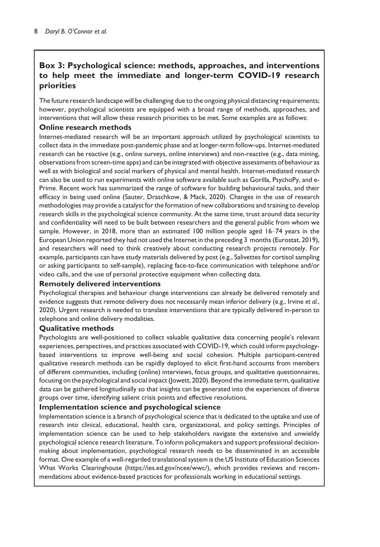# Box 3: Psychological science: methods, approaches, and interventions to help meet the immediate and longer-term COVID-19 research priorities

The future research landscape will be challenging due to the ongoing physical distancing requirements; however, psychological scientists are equipped with a broad range of methods, approaches, and interventions that will allow these research priorities to be met. Some examples are as follows:

### Online research methods

Internet-mediated research will be an important approach utilized by psychological scientists to collect data in the immediate post-pandemic phase and at longer-term follow-ups. Internet-mediated research can be reactive (e.g., online surveys, online interviews) and non-reactive (e.g., data mining, observations from screen-time apps) and can be integrated with objective assessments of behaviour as well as with biological and social markers of physical and mental health. Internet-mediated research can also be used to run experiments with online software available such as Gorilla, PsychoPy, and e-Prime. Recent work has summarized the range of software for building behavioural tasks, and their efficacy in being used online (Sauter, Draschkow, & Mack, 2020). Changes in the use of research methodologies may provide a catalyst for the formation of new collaborations and training to develop research skills in the psychological science community. At the same time, trust around data security and confidentiality will need to be built between researchers and the general public from whom we sample. However, in 2018, more than an estimated 100 million people aged 16–74 years in the European Union reported they had not used the Internet in the preceding 3 months (Eurostat, 2019), and researchers will need to think creatively about conducting research projects remotely. For example, participants can have study materials delivered by post (e.g., Salivettes for cortisol sampling or asking participants to self-sample), replacing face-to-face communication with telephone and/or video calls, and the use of personal protective equipment when collecting data.

#### Remotely delivered interventions

Psychological therapies and behaviour change interventions can already be delivered remotely and evidence suggests that remote delivery does not necessarily mean inferior delivery (e.g., Irvine et al., 2020). Urgent research is needed to translate interventions that are typically delivered in-person to telephone and online delivery modalities.

#### Qualitative methods

Psychologists are well-positioned to collect valuable qualitative data concerning people's relevant experiences, perspectives, and practices associated with COVID-19, which could inform psychologybased interventions to improve well-being and social cohesion. Multiple participant-centred qualitative research methods can be rapidly deployed to elicit first-hand accounts from members of different communities, including (online) interviews, focus groups, and qualitative questionnaires, focusing on the psychological and social impact (Jowett, 2020). Beyond the immediate term, qualitative data can be gathered longitudinally so that insights can be generated into the experiences of diverse groups over time, identifying salient crisis points and effective resolutions.

#### Implementation science and psychological science

Implementation science is a branch of psychological science that is dedicated to the uptake and use of research into clinical, educational, health care, organizational, and policy settings. Principles of implementation science can be used to help stakeholders navigate the extensive and unwieldy psychological science research literature. To inform policymakers and support professional decisionmaking about implementation, psychological research needs to be disseminated in an accessible format. One example of a well-regarded translational system is the US Institute of Education Sciences What Works Clearinghouse [\(https://ies.ed.gov/ncee/wwc/](https://ies.ed.gov/ncee/wwc/)), which provides reviews and recommendations about evidence-based practices for professionals working in educational settings.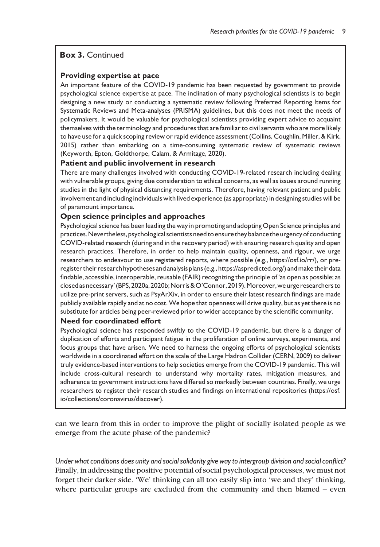# Box 3. Continued

# Providing expertise at pace

An important feature of the COVID-19 pandemic has been requested by government to provide psychological science expertise at pace. The inclination of many psychological scientists is to begin designing a new study or conducting a systematic review following Preferred Reporting Items for Systematic Reviews and Meta-analyses (PRISMA) guidelines, but this does not meet the needs of policymakers. It would be valuable for psychological scientists providing expert advice to acquaint themselves with the terminology and procedures that are familiar to civil servants who are more likely to have use for a quick scoping review or rapid evidence assessment (Collins, Coughlin, Miller, & Kirk, 2015) rather than embarking on a time-consuming systematic review of systematic reviews (Keyworth, Epton, Goldthorpe, Calam, & Armitage, 2020).

# Patient and public involvement in research

There are many challenges involved with conducting COVID-19-related research including dealing with vulnerable groups, giving due consideration to ethical concerns, as well as issues around running studies in the light of physical distancing requirements. Therefore, having relevant patient and public involvement and including individuals with lived experience (as appropriate) in designing studies will be of paramount importance.

# Open science principles and approaches

Psychological science has been leading the way in promoting and adopting Open Science principles and practices.Nevertheless, psychological scientists need to ensure they balance the urgency of conducting COVID-related research (during and in the recovery period) with ensuring research quality and open research practices. Therefore, in order to help maintain quality, openness, and rigour, we urge researchers to endeavour to use registered reports, where possible (e.g.,<https://osf.io/rr/>), or preregister their research hypotheses and analysis plans (e.g.,<https://aspredicted.org/>) andmake their data findable, accessible, interoperable, reusable (FAIR) recognizing the principle of 'as open as possible; as closed as necessary' (BPS, 2020a, 2020b;Norris&O'Connor, 2019).Moreover,we urge researchers to utilize pre-print servers, such as PsyArXiv, in order to ensure their latest research findings are made publicly available rapidly and at no cost.We hope that openness will drive quality, but as yet there is no substitute for articles being peer-reviewed prior to wider acceptance by the scientific community.

# Need for coordinated effort

Psychological science has responded swiftly to the COVID-19 pandemic, but there is a danger of duplication of efforts and participant fatigue in the proliferation of online surveys, experiments, and focus groups that have arisen. We need to harness the ongoing efforts of psychological scientists worldwide in a coordinated effort on the scale of the Large Hadron Collider (CERN, 2009) to deliver truly evidence-based interventions to help societies emerge from the COVID-19 pandemic. This will include cross-cultural research to understand why mortality rates, mitigation measures, and adherence to government instructions have differed so markedly between countries. Finally, we urge researchers to register their research studies and findings on international repositories ([https://osf.](https://osf.io/collections/coronavirus/discover) [io/collections/coronavirus/discover\)](https://osf.io/collections/coronavirus/discover).

can we learn from this in order to improve the plight of socially isolated people as we emerge from the acute phase of the pandemic?

Under what conditions does unity and social solidarity give way to intergroup division and social conflict? Finally, in addressing the positive potential of social psychological processes, we must not forget their darker side. 'We' thinking can all too easily slip into 'we and they' thinking, where particular groups are excluded from the community and then blamed – even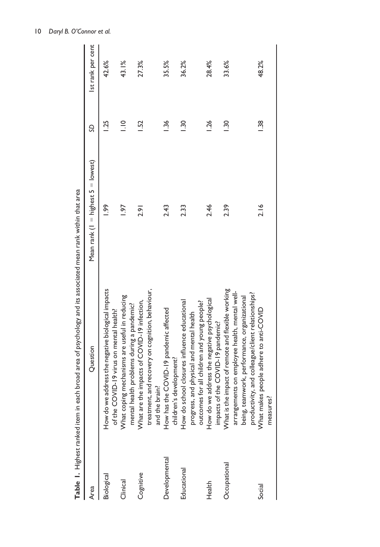| )<br>1                 |
|------------------------|
|                        |
|                        |
|                        |
|                        |
| ここに こうこうこう てんきょう       |
|                        |
|                        |
|                        |
| is see se              |
| j                      |
|                        |
|                        |
| ة<br>ه                 |
| )<br>)<br>)            |
| .<br>1                 |
|                        |
| י לא היה הלה לא האי לא |
|                        |
|                        |
|                        |
|                        |
|                        |
|                        |
|                        |
| able                   |
| ١                      |

| Area          | Question                                                                                                                                                                                                | Mean rank $(1 =$ highest $5 =$ lowest) | S               | Ist rank per cent |
|---------------|---------------------------------------------------------------------------------------------------------------------------------------------------------------------------------------------------------|----------------------------------------|-----------------|-------------------|
| Biological    | How do we address the negative biological impacts<br>of the COVID-19 virus on mental health?                                                                                                            | <b>P61</b>                             | $\frac{25}{2}$  | 42.6%             |
| Clinical      | What coping mechanisms are useful in reducing<br>mental health problems during a pandemic?                                                                                                              | 1.97                                   | $\frac{1}{2}$   | 43.1%             |
| Cognitive     | treatment, and recovery on cognition, behaviour,<br>What are the impacts of COVID-19 infection,                                                                                                         | 2.91                                   | $\overline{52}$ | 27.3%             |
|               | and the brain?                                                                                                                                                                                          |                                        |                 |                   |
| Developmental | How has the COVID-19 pandemic affected<br>development?<br>children's c                                                                                                                                  | 2.43                                   | $\frac{36}{5}$  | 35.5%             |
| Educational   | How do school closures influence educational<br>outcomes for all children and young people?<br>progress, and physical and mental health                                                                 | 2.33                                   | $\frac{30}{2}$  | 36.2%             |
| Health        | How do we address the negative psychological<br>the COVID-19 pandemic!<br>impacts of                                                                                                                    | 2.46                                   | 126             | 28.4%             |
| Occupational  | What is the impact of remote and flexible working<br>arrangements on employee health, mental well-<br>productivity, and colleague/client relationships?<br>being, teamwork, performance, organizational | 2.39                                   | $\frac{30}{2}$  | 33.6%             |
| Social        | What makes people adhere to anti-COVID<br>measures?                                                                                                                                                     | 2.16                                   | $\frac{38}{3}$  | 48.2%             |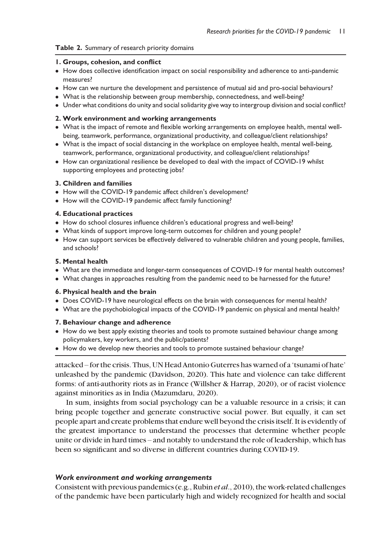# Table 2. Summary of research priority domains

#### 1. Groups, cohesion, and conflict

- How does collective identification impact on social responsibility and adherence to anti-pandemic measures?
- How can we nurture the development and persistence of mutual aid and pro-social behaviours?
- What is the relationship between group membership, connectedness, and well-being?
- Under what conditions do unity and social solidarity give way to intergroup division and social conflict?

#### 2. Work environment and working arrangements

- What is the impact of remote and flexible working arrangements on employee health, mental wellbeing, teamwork, performance, organizational productivity, and colleague/client relationships?
- What is the impact of social distancing in the workplace on employee health, mental well-being, teamwork, performance, organizational productivity, and colleague/client relationships?
- How can organizational resilience be developed to deal with the impact of COVID-19 whilst supporting employees and protecting jobs?

#### 3. Children and families

- How will the COVID-19 pandemic affect children's development?
- How will the COVID-19 pandemic affect family functioning?

#### 4. Educational practices

- How do school closures influence children's educational progress and well-being?
- What kinds of support improve long-term outcomes for children and young people?
- How can support services be effectively delivered to vulnerable children and young people, families, and schools?

#### 5. Mental health

- What are the immediate and longer-term consequences of COVID-19 for mental health outcomes?
- What changes in approaches resulting from the pandemic need to be harnessed for the future?

# 6. Physical health and the brain

- Does COVID-19 have neurological effects on the brain with consequences for mental health?
- What are the psychobiological impacts of the COVID-19 pandemic on physical and mental health?

# 7. Behaviour change and adherence

- How do we best apply existing theories and tools to promote sustained behaviour change among policymakers, key workers, and the public/patients?
- How do we develop new theories and tools to promote sustained behaviour change?

attacked – for the crisis. Thus, UN Head Antonio Guterres has warned of a 'tsunami of hate' unleashed by the pandemic (Davidson, 2020). This hate and violence can take different forms: of anti-authority riots as in France (Willsher & Harrap, 2020), or of racist violence against minorities as in India (Mazumdaru, 2020).

In sum, insights from social psychology can be a valuable resource in a crisis; it can bring people together and generate constructive social power. But equally, it can set people apart and create problems that endure well beyond the crisis itself. It is evidently of the greatest importance to understand the processes that determine whether people unite or divide in hard times – and notably to understand the role of leadership, which has been so significant and so diverse in different countries during COVID-19.

# Work environment and working arrangements

Consistent with previous pandemics (e.g., Rubin *et al.*, 2010), the work-related challenges of the pandemic have been particularly high and widely recognized for health and social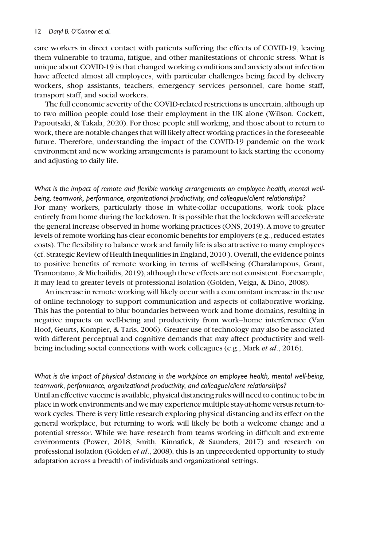care workers in direct contact with patients suffering the effects of COVID-19, leaving them vulnerable to trauma, fatigue, and other manifestations of chronic stress. What is unique about COVID-19 is that changed working conditions and anxiety about infection have affected almost all employees, with particular challenges being faced by delivery workers, shop assistants, teachers, emergency services personnel, care home staff, transport staff, and social workers.

The full economic severity of the COVID-related restrictions is uncertain, although up to two million people could lose their employment in the UK alone (Wilson, Cockett, Papoutsaki, & Takala, 2020). For those people still working, and those about to return to work, there are notable changes that will likely affect working practices in the foreseeable future. Therefore, understanding the impact of the COVID-19 pandemic on the work environment and new working arrangements is paramount to kick starting the economy and adjusting to daily life.

What is the impact of remote and flexible working arrangements on employee health, mental wellbeing, teamwork, performance, organizational productivity, and colleague/client relationships? For many workers, particularly those in white-collar occupations, work took place entirely from home during the lockdown. It is possible that the lockdown will accelerate the general increase observed in home working practices (ONS, 2019). A move to greater levels of remote working has clear economic benefits for employers (e.g., reduced estates costs). The flexibility to balance work and family life is also attractive to many employees (cf. Strategic Review of Health Inequalities in England, 2010 ). Overall, the evidence points to positive benefits of remote working in terms of well-being (Charalampous, Grant, Tramontano, & Michailidis, 2019), although these effects are not consistent. For example, it may lead to greater levels of professional isolation (Golden, Veiga, & Dino, 2008).

An increase in remote working will likely occur with a concomitant increase in the use of online technology to support communication and aspects of collaborative working. This has the potential to blur boundaries between work and home domains, resulting in negative impacts on well-being and productivity from work–home interference (Van Hoof, Geurts, Kompier, & Taris, 2006). Greater use of technology may also be associated with different perceptual and cognitive demands that may affect productivity and wellbeing including social connections with work colleagues (e.g., Mark et al., 2016).

# What is the impact of physical distancing in the workplace on employee health, mental well-being, teamwork, performance, organizational productivity, and colleague/client relationships? Until an effective vaccine is available, physical distancing rules will need to continue to be in place in work environments and we may experience multiple stay-at-home versus return-towork cycles. There is very little research exploring physical distancing and its effect on the general workplace, but returning to work will likely be both a welcome change and a potential stressor. While we have research from teams working in difficult and extreme environments (Power, 2018; Smith, Kinnafick, & Saunders, 2017) and research on professional isolation (Golden et al., 2008), this is an unprecedented opportunity to study adaptation across a breadth of individuals and organizational settings.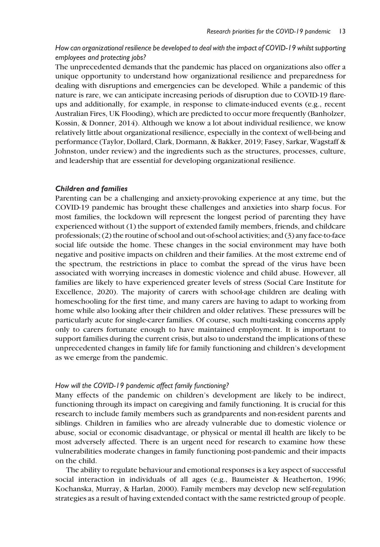# How can organizational resilience be developed to deal with the impact of COVID-19 whilst supporting employees and protecting jobs?

The unprecedented demands that the pandemic has placed on organizations also offer a unique opportunity to understand how organizational resilience and preparedness for dealing with disruptions and emergencies can be developed. While a pandemic of this nature is rare, we can anticipate increasing periods of disruption due to COVID-19 flareups and additionally, for example, in response to climate-induced events (e.g., recent Australian Fires, UK Flooding), which are predicted to occur more frequently (Banholzer, Kossin, & Donner, 2014). Although we know a lot about individual resilience, we know relatively little about organizational resilience, especially in the context of well-being and performance (Taylor, Dollard, Clark, Dormann, & Bakker, 2019; Fasey, Sarkar, Wagstaff & Johnston, under review) and the ingredients such as the structures, processes, culture, and leadership that are essential for developing organizational resilience.

#### Children and families

Parenting can be a challenging and anxiety-provoking experience at any time, but the COVID-19 pandemic has brought these challenges and anxieties into sharp focus. For most families, the lockdown will represent the longest period of parenting they have experienced without (1) the support of extended family members, friends, and childcare professionals; (2) the routine of school and out-of-school activities; and (3) any face-to-face social life outside the home. These changes in the social environment may have both negative and positive impacts on children and their families. At the most extreme end of the spectrum, the restrictions in place to combat the spread of the virus have been associated with worrying increases in domestic violence and child abuse. However, all families are likely to have experienced greater levels of stress (Social Care Institute for Excellence, 2020). The majority of carers with school-age children are dealing with homeschooling for the first time, and many carers are having to adapt to working from home while also looking after their children and older relatives. These pressures will be particularly acute for single-carer families. Of course, such multi-tasking concerns apply only to carers fortunate enough to have maintained employment. It is important to support families during the current crisis, but also to understand the implications of these unprecedented changes in family life for family functioning and children's development as we emerge from the pandemic.

#### How will the COVID-19 pandemic affect family functioning?

Many effects of the pandemic on children's development are likely to be indirect, functioning through its impact on caregiving and family functioning. It is crucial for this research to include family members such as grandparents and non-resident parents and siblings. Children in families who are already vulnerable due to domestic violence or abuse, social or economic disadvantage, or physical or mental ill health are likely to be most adversely affected. There is an urgent need for research to examine how these vulnerabilities moderate changes in family functioning post-pandemic and their impacts on the child.

The ability to regulate behaviour and emotional responses is a key aspect of successful social interaction in individuals of all ages (e.g., Baumeister & Heatherton, 1996; Kochanska, Murray, & Harlan, 2000). Family members may develop new self-regulation strategies as a result of having extended contact with the same restricted group of people.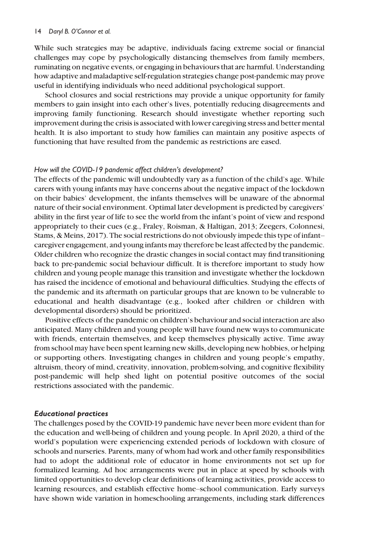While such strategies may be adaptive, individuals facing extreme social or financial challenges may cope by psychologically distancing themselves from family members, ruminating on negative events, or engaging in behaviours that are harmful. Understanding how adaptive and maladaptive self-regulation strategies change post-pandemic may prove useful in identifying individuals who need additional psychological support.

School closures and social restrictions may provide a unique opportunity for family members to gain insight into each other's lives, potentially reducing disagreements and improving family functioning. Research should investigate whether reporting such improvement during the crisis is associated with lower caregiving stress and better mental health. It is also important to study how families can maintain any positive aspects of functioning that have resulted from the pandemic as restrictions are eased.

#### How will the COVID-19 pandemic affect children's development?

The effects of the pandemic will undoubtedly vary as a function of the child's age. While carers with young infants may have concerns about the negative impact of the lockdown on their babies' development, the infants themselves will be unaware of the abnormal nature of their social environment. Optimal later development is predicted by caregivers' ability in the first year of life to see the world from the infant's point of view and respond appropriately to their cues (e.g., Fraley, Roisman, & Haltigan, 2013; Zeegers, Colonnesi, Stams, & Meins, 2017). The social restrictions do not obviously impede this type of infant– caregiver engagement, and young infants may therefore be least affected by the pandemic. Older children who recognize the drastic changes in social contact may find transitioning back to pre-pandemic social behaviour difficult. It is therefore important to study how children and young people manage this transition and investigate whether the lockdown has raised the incidence of emotional and behavioural difficulties. Studying the effects of the pandemic and its aftermath on particular groups that are known to be vulnerable to educational and health disadvantage (e.g., looked after children or children with developmental disorders) should be prioritized.

Positive effects of the pandemic on children's behaviour and social interaction are also anticipated. Many children and young people will have found new ways to communicate with friends, entertain themselves, and keep themselves physically active. Time away from school may have been spent learning new skills, developing new hobbies, or helping or supporting others. Investigating changes in children and young people's empathy, altruism, theory of mind, creativity, innovation, problem-solving, and cognitive flexibility post-pandemic will help shed light on potential positive outcomes of the social restrictions associated with the pandemic.

#### Educational practices

The challenges posed by the COVID-19 pandemic have never been more evident than for the education and well-being of children and young people. In April 2020, a third of the world's population were experiencing extended periods of lockdown with closure of schools and nurseries. Parents, many of whom had work and other family responsibilities had to adopt the additional role of educator in home environments not set up for formalized learning. Ad hoc arrangements were put in place at speed by schools with limited opportunities to develop clear definitions of learning activities, provide access to learning resources, and establish effective home–school communication. Early surveys have shown wide variation in homeschooling arrangements, including stark differences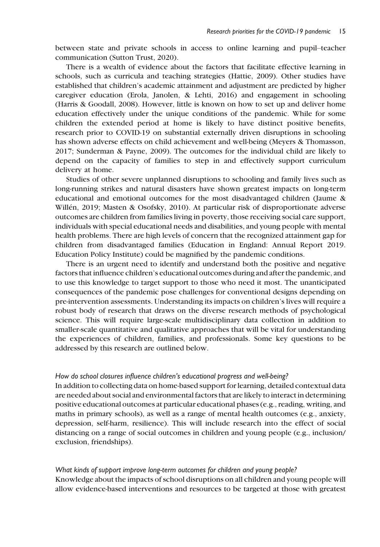between state and private schools in access to online learning and pupil–teacher communication (Sutton Trust, 2020).

There is a wealth of evidence about the factors that facilitate effective learning in schools, such as curricula and teaching strategies (Hattie, 2009). Other studies have established that children's academic attainment and adjustment are predicted by higher caregiver education (Erola, Janolen, & Lehti, 2016) and engagement in schooling (Harris & Goodall, 2008). However, little is known on how to set up and deliver home education effectively under the unique conditions of the pandemic. While for some children the extended period at home is likely to have distinct positive benefits, research prior to COVID-19 on substantial externally driven disruptions in schooling has shown adverse effects on child achievement and well-being (Meyers & Thomasson, 2017; Sunderman & Payne, 2009). The outcomes for the individual child are likely to depend on the capacity of families to step in and effectively support curriculum delivery at home.

Studies of other severe unplanned disruptions to schooling and family lives such as long-running strikes and natural disasters have shown greatest impacts on long-term educational and emotional outcomes for the most disadvantaged children (Jaume & Willén, 2019; Masten & Osofsky, 2010). At particular risk of disproportionate adverse outcomes are children from families living in poverty, those receiving social care support, individuals with special educational needs and disabilities, and young people with mental health problems. There are high levels of concern that the recognized attainment gap for children from disadvantaged families (Education in England: Annual Report 2019. Education Policy Institute) could be magnified by the pandemic conditions.

There is an urgent need to identify and understand both the positive and negative factors that influence children's educational outcomes during and after the pandemic, and to use this knowledge to target support to those who need it most. The unanticipated consequences of the pandemic pose challenges for conventional designs depending on pre-intervention assessments. Understanding its impacts on children's lives will require a robust body of research that draws on the diverse research methods of psychological science. This will require large-scale multidisciplinary data collection in addition to smaller-scale quantitative and qualitative approaches that will be vital for understanding the experiences of children, families, and professionals. Some key questions to be addressed by this research are outlined below.

#### How do school closures influence children's educational progress and well-being?

In addition to collecting data on home-based support for learning, detailed contextual data are needed about social and environmental factors that are likely to interact in determining positive educational outcomes at particular educational phases (e.g., reading, writing, and maths in primary schools), as well as a range of mental health outcomes (e.g., anxiety, depression, self-harm, resilience). This will include research into the effect of social distancing on a range of social outcomes in children and young people (e.g., inclusion/ exclusion, friendships).

#### What kinds of support improve long-term outcomes for children and young people?

Knowledge about the impacts of school disruptions on all children and young people will allow evidence-based interventions and resources to be targeted at those with greatest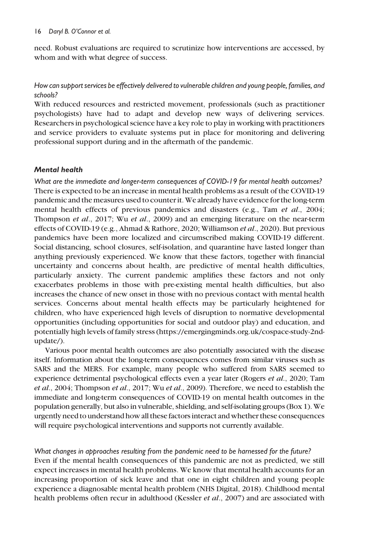#### 16 Daryl B. O'Connor et al.

need. Robust evaluations are required to scrutinize how interventions are accessed, by whom and with what degree of success.

# How can support services be effectively delivered to vulnerable children and young people, families, and schools?

With reduced resources and restricted movement, professionals (such as practitioner psychologists) have had to adapt and develop new ways of delivering services. Researchers in psychological science have a key role to play in working with practitioners and service providers to evaluate systems put in place for monitoring and delivering professional support during and in the aftermath of the pandemic.

# Mental health

What are the immediate and longer-term consequences of COVID-19 for mental health outcomes? There is expected to be an increase in mental health problems as a result of the COVID-19 pandemic and the measures used to counter it. We already have evidence for the long-term mental health effects of previous pandemics and disasters (e.g., Tam et al., 2004; Thompson et al., 2017; Wu et al., 2009) and an emerging literature on the near-term effects of COVID-19 (e.g., Ahmad & Rathore, 2020; Williamson et al., 2020). But previous pandemics have been more localized and circumscribed making COVID-19 different. Social distancing, school closures, self-isolation, and quarantine have lasted longer than anything previously experienced. We know that these factors, together with financial uncertainty and concerns about health, are predictive of mental health difficulties, particularly anxiety. The current pandemic amplifies these factors and not only exacerbates problems in those with pre-existing mental health difficulties, but also increases the chance of new onset in those with no previous contact with mental health services. Concerns about mental health effects may be particularly heightened for children, who have experienced high levels of disruption to normative developmental opportunities (including opportunities for social and outdoor play) and education, and potentially high levels of family stress ([https://emergingminds.org.uk/cospace-study-2nd](https://emergingminds.org.uk/cospace-study-2nd-update/)[update/\)](https://emergingminds.org.uk/cospace-study-2nd-update/).

Various poor mental health outcomes are also potentially associated with the disease itself. Information about the long-term consequences comes from similar viruses such as SARS and the MERS. For example, many people who suffered from SARS seemed to experience detrimental psychological effects even a year later (Rogers et al., 2020; Tam et al., 2004; Thompson et al., 2017; Wu et al., 2009). Therefore, we need to establish the immediate and long-term consequences of COVID-19 on mental health outcomes in the population generally, but also in vulnerable, shielding, and self-isolating groups (Box 1). We urgently need to understand how all these factors interact and whether these consequences will require psychological interventions and supports not currently available.

# What changes in approaches resulting from the pandemic need to be harnessed for the future? Even if the mental health consequences of this pandemic are not as predicted, we still expect increases in mental health problems. We know that mental health accounts for an increasing proportion of sick leave and that one in eight children and young people experience a diagnosable mental health problem (NHS Digital, 2018). Childhood mental health problems often recur in adulthood (Kessler et al., 2007) and are associated with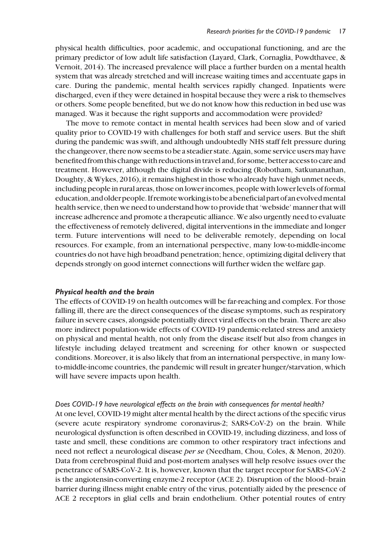physical health difficulties, poor academic, and occupational functioning, and are the primary predictor of low adult life satisfaction (Layard, Clark, Cornaglia, Powdthavee, & Vernoit, 2014). The increased prevalence will place a further burden on a mental health system that was already stretched and will increase waiting times and accentuate gaps in care. During the pandemic, mental health services rapidly changed. Inpatients were discharged, even if they were detained in hospital because they were a risk to themselves or others. Some people benefited, but we do not know how this reduction in bed use was managed. Was it because the right supports and accommodation were provided?

The move to remote contact in mental health services had been slow and of varied quality prior to COVID-19 with challenges for both staff and service users. But the shift during the pandemic was swift, and although undoubtedly NHS staff felt pressure during the changeover, there now seems to be a steadier state. Again, some service users may have benefited from this changewith reductionsin travel and, for some, better access to care and treatment. However, although the digital divide is reducing (Robotham, Satkunanathan, Doughty, & Wykes, 2016), it remains highest in those who already have high unmet needs, including people in rural areas, those on lower incomes, people with lower levels of formal education, and older people. If remote working is to be a beneficial part of an evolved mental health service, then we need to understand how to provide that 'webside' manner that will increase adherence and promote a therapeutic alliance. We also urgently need to evaluate the effectiveness of remotely delivered, digital interventions in the immediate and longer term. Future interventions will need to be deliverable remotely, depending on local resources. For example, from an international perspective, many low-to-middle-income countries do not have high broadband penetration; hence, optimizing digital delivery that depends strongly on good internet connections will further widen the welfare gap.

#### Physical health and the brain

The effects of COVID-19 on health outcomes will be far-reaching and complex. For those falling ill, there are the direct consequences of the disease symptoms, such as respiratory failure in severe cases, alongside potentially direct viral effects on the brain. There are also more indirect population-wide effects of COVID-19 pandemic-related stress and anxiety on physical and mental health, not only from the disease itself but also from changes in lifestyle including delayed treatment and screening for other known or suspected conditions. Moreover, it is also likely that from an international perspective, in many lowto-middle-income countries, the pandemic will result in greater hunger/starvation, which will have severe impacts upon health.

#### Does COVID-19 have neurological effects on the brain with consequences for mental health?

At one level, COVID-19 might alter mental health by the direct actions of the specific virus (severe acute respiratory syndrome coronavirus-2; SARS-CoV-2) on the brain. While neurological dysfunction is often described in COVID-19, including dizziness, and loss of taste and smell, these conditions are common to other respiratory tract infections and need not reflect a neurological disease per se (Needham, Chou, Coles, & Menon, 2020). Data from cerebrospinal fluid and post-mortem analyses will help resolve issues over the penetrance of SARS-CoV-2. It is, however, known that the target receptor for SARS-CoV-2 is the angiotensin-converting enzyme-2 receptor (ACE 2). Disruption of the blood–brain barrier during illness might enable entry of the virus, potentially aided by the presence of ACE 2 receptors in glial cells and brain endothelium. Other potential routes of entry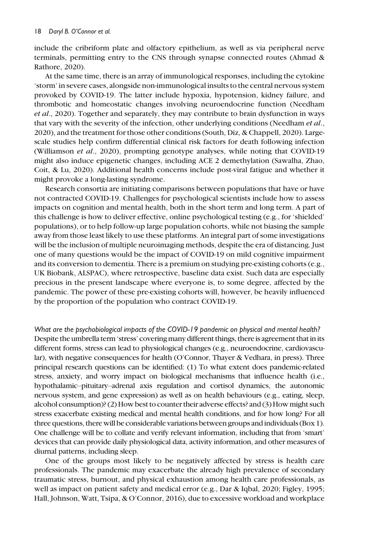include the cribriform plate and olfactory epithelium, as well as via peripheral nerve terminals, permitting entry to the CNS through synapse connected routes (Ahmad & Rathore, 2020).

At the same time, there is an array of immunological responses, including the cytokine 'storm' in severe cases, alongside non-immunological insults to the central nervous system provoked by COVID-19. The latter include hypoxia, hypotension, kidney failure, and thrombotic and homeostatic changes involving neuroendocrine function (Needham et al., 2020). Together and separately, they may contribute to brain dysfunction in ways that vary with the severity of the infection, other underlying conditions (Needham *et al.*, 2020), and the treatment for those other conditions (South, Diz, & Chappell, 2020). Largescale studies help confirm differential clinical risk factors for death following infection (Williamson et al., 2020), prompting genotype analyses, while noting that COVID-19 might also induce epigenetic changes, including ACE 2 demethylation (Sawalha, Zhao, Coit, & Lu, 2020). Additional health concerns include post-viral fatigue and whether it might provoke a long-lasting syndrome.

Research consortia are initiating comparisons between populations that have or have not contracted COVID-19. Challenges for psychological scientists include how to assess impacts on cognition and mental health, both in the short term and long term. A part of this challenge is how to deliver effective, online psychological testing (e.g., for 'shielded' populations), or to help follow-up large population cohorts, while not biasing the sample away from those least likely to use these platforms. An integral part of some investigations will be the inclusion of multiple neuroimaging methods, despite the era of distancing. Just one of many questions would be the impact of COVID-19 on mild cognitive impairment and its conversion to dementia. There is a premium on studying pre-existing cohorts (e.g., UK Biobank, ALSPAC), where retrospective, baseline data exist. Such data are especially precious in the present landscape where everyone is, to some degree, affected by the pandemic. The power of these pre-existing cohorts will, however, be heavily influenced by the proportion of the population who contract COVID-19.

What are the psychobiological impacts of the COVID-19 pandemic on physical and mental health? Despite the umbrella term 'stress' coveringmany different things, there is agreement that in its different forms, stress can lead to physiological changes (e.g., neuroendocrine, cardiovascular), with negative consequences for health (O'Connor, Thayer & Vedhara, in press). Three principal research questions can be identified: (1) To what extent does pandemic-related stress, anxiety, and worry impact on biological mechanisms that influence health (i.e., hypothalamic–pituitary–adrenal axis regulation and cortisol dynamics, the autonomic nervous system, and gene expression) as well as on health behaviours (e.g., eating, sleep, alcohol consumption)? (2) How best to counter their adverse effects? and (3) How might such stress exacerbate existing medical and mental health conditions, and for how long? For all three questions, there will be considerable variations between groups and individuals (Box 1). One challenge will be to collate and verify relevant information, including that from 'smart' devices that can provide daily physiological data, activity information, and other measures of diurnal patterns, including sleep.

One of the groups most likely to be negatively affected by stress is health care professionals. The pandemic may exacerbate the already high prevalence of secondary traumatic stress, burnout, and physical exhaustion among health care professionals, as well as impact on patient safety and medical error (e.g., Dar & Iqbal, 2020; Figley, 1995; Hall, Johnson, Watt, Tsipa, & O'Connor, 2016), due to excessive workload and workplace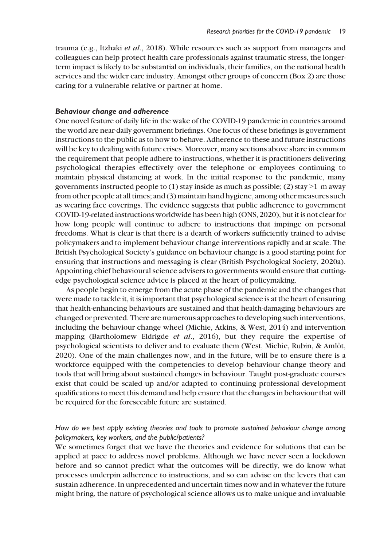trauma (e.g., Itzhaki et al., 2018). While resources such as support from managers and colleagues can help protect health care professionals against traumatic stress, the longerterm impact is likely to be substantial on individuals, their families, on the national health services and the wider care industry. Amongst other groups of concern (Box 2) are those caring for a vulnerable relative or partner at home.

#### Behaviour change and adherence

One novel feature of daily life in the wake of the COVID-19 pandemic in countries around the world are near-daily government briefings. One focus of these briefings is government instructions to the public as to how to behave. Adherence to these and future instructions will be key to dealing with future crises. Moreover, many sections above share in common the requirement that people adhere to instructions, whether it is practitioners delivering psychological therapies effectively over the telephone or employees continuing to maintain physical distancing at work. In the initial response to the pandemic, many governments instructed people to (1) stay inside as much as possible; (2) stay  $>1$  m away from other people at all times; and (3) maintain hand hygiene, among other measures such as wearing face coverings. The evidence suggests that public adherence to government COVID-19-related instructions worldwide has been high (ONS, 2020), but it is not clear for how long people will continue to adhere to instructions that impinge on personal freedoms. What is clear is that there is a dearth of workers sufficiently trained to advise policymakers and to implement behaviour change interventions rapidly and at scale. The British Psychological Society's guidance on behaviour change is a good starting point for ensuring that instructions and messaging is clear (British Psychological Society, 2020a). Appointing chief behavioural science advisers to governments would ensure that cuttingedge psychological science advice is placed at the heart of policymaking.

As people begin to emerge from the acute phase of the pandemic and the changes that were made to tackle it, it is important that psychological science is at the heart of ensuring that health-enhancing behaviours are sustained and that health-damaging behaviours are changed or prevented. There are numerous approaches to developing such interventions, including the behaviour change wheel (Michie, Atkins, & West, 2014) and intervention mapping (Bartholomew Eldrigde *et al.*, 2016), but they require the expertise of psychological scientists to deliver and to evaluate them (West, Michie, Rubin, & Amlot, ^ 2020). One of the main challenges now, and in the future, will be to ensure there is a workforce equipped with the competencies to develop behaviour change theory and tools that will bring about sustained changes in behaviour. Taught post-graduate courses exist that could be scaled up and/or adapted to continuing professional development qualifications to meet this demand and help ensure that the changes in behaviour that will be required for the foreseeable future are sustained.

# How do we best apply existing theories and tools to promote sustained behaviour change among policymakers, key workers, and the public/patients?

We sometimes forget that we have the theories and evidence for solutions that can be applied at pace to address novel problems. Although we have never seen a lockdown before and so cannot predict what the outcomes will be directly, we do know what processes underpin adherence to instructions, and so can advise on the levers that can sustain adherence. In unprecedented and uncertain times now and in whatever the future might bring, the nature of psychological science allows us to make unique and invaluable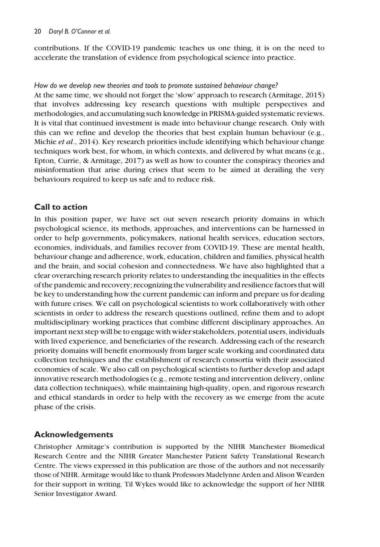contributions. If the COVID-19 pandemic teaches us one thing, it is on the need to accelerate the translation of evidence from psychological science into practice.

# How do we develop new theories and tools to promote sustained behaviour change?

At the same time, we should not forget the 'slow' approach to research (Armitage, 2015) that involves addressing key research questions with multiple perspectives and methodologies, and accumulating such knowledge in PRISMA-guided systematic reviews. It is vital that continued investment is made into behaviour change research. Only with this can we refine and develop the theories that best explain human behaviour (e.g., Michie et al., 2014). Key research priorities include identifying which behaviour change techniques work best, for whom, in which contexts, and delivered by what means (e.g., Epton, Currie, & Armitage, 2017) as well as how to counter the conspiracy theories and misinformation that arise during crises that seem to be aimed at derailing the very behaviours required to keep us safe and to reduce risk.

# Call to action

In this position paper, we have set out seven research priority domains in which psychological science, its methods, approaches, and interventions can be harnessed in order to help governments, policymakers, national health services, education sectors, economies, individuals, and families recover from COVID-19. These are mental health, behaviour change and adherence, work, education, children and families, physical health and the brain, and social cohesion and connectedness. We have also highlighted that a clear overarching research priority relates to understanding the inequalities in the effects of the pandemic and recovery; recognizing the vulnerability and resilience factors that will be key to understanding how the current pandemic can inform and prepare us for dealing with future crises. We call on psychological scientists to work collaboratively with other scientists in order to address the research questions outlined, refine them and to adopt multidisciplinary working practices that combine different disciplinary approaches. An important next step will be to engage with wider stakeholders, potential users, individuals with lived experience, and beneficiaries of the research. Addressing each of the research priority domains will benefit enormously from larger scale working and coordinated data collection techniques and the establishment of research consortia with their associated economies of scale. We also call on psychological scientists to further develop and adapt innovative research methodologies (e.g., remote testing and intervention delivery, online data collection techniques), while maintaining high-quality, open, and rigorous research and ethical standards in order to help with the recovery as we emerge from the acute phase of the crisis.

# Acknowledgements

Christopher Armitage's contribution is supported by the NIHR Manchester Biomedical Research Centre and the NIHR Greater Manchester Patient Safety Translational Research Centre. The views expressed in this publication are those of the authors and not necessarily those of NIHR. Armitage would like to thank Professors Madelynne Arden and Alison Wearden for their support in writing. Til Wykes would like to acknowledge the support of her NIHR Senior Investigator Award.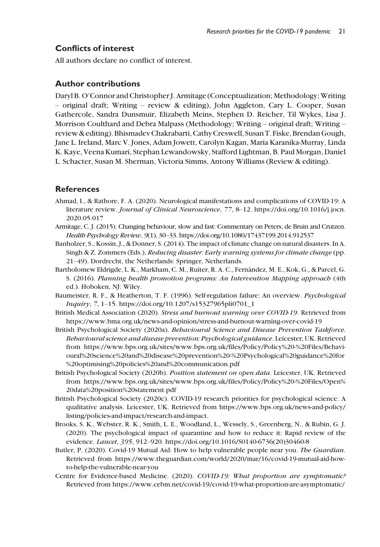# Conflicts of interest

All authors declare no conflict of interest.

# Author contributions

Daryl B. O'Connor and Christopher J. Armitage (Conceptualization; Methodology;Writing – original draft; Writing – review & editing), John Aggleton, Cary L. Cooper, Susan Gathercole, Sandra Dunsmuir, Elizabeth Meins, Stephen D. Reicher, Til Wykes, Lisa J. Morrison Coulthard and Debra Malpass (Methodology; Writing – original draft; Writing – review & editing). BhismadevChakrabarti,CathyCreswell, Susan T. Fiske, Brendan Gough, Jane L. Ireland, Marc V. Jones, Adam Jowett, Carolyn Kagan, Maria Karanika-Murray, Linda K. Kaye, Veena Kumari, Stephan Lewandowsky, Stafford Lightman, B. Paul Morgan, Daniel L. Schacter, Susan M. Sherman, Victoria Simms, Antony Williams (Review & editing).

# **References**

- Ahmad, I., & Rathore, F. A. (2020). Neurological manifestations and complications of COVID-19: A literature review. Journal of Clinical Neuroscience, 77, 8–12. [https://doi.org/10.1016/j.jocn.](https://doi.org/10.1016/j.jocn.2020.05.017) [2020.05.017](https://doi.org/10.1016/j.jocn.2020.05.017)
- Armitage, C. J. (2015). Changing behaviour, slow and fast: Commentary on Peters, de Bruin and Crutzen. Health Psychology Review, 9(1), 30–33.<https://doi.org/10.1080/17437199.2014.912537>
- Banholzer, S., Kossin, J., & Donner, S. (2014). The impact of climate change on natural disasters. In A. Singh & Z. Zommers (Eds.), Reducing disaster: Early warning systems for climate change (pp. 21–49). Dordrecht, the Netherlands: Springer, Netherlands.
- Bartholomew Eldrigde, L. K., Markham, C. M., Ruiter, R. A. C., Fernandez, M. E., Kok, G., & Parcel, G. S. (2016). Planning health promotion programs: An Intervention Mapping approach (4th ed.). Hoboken, NJ: Wiley.
- Baumeister, R. F., & Heatherton, T. F. (1996). Self-regulation failure: An overview. Psychological Inquiry, 7, 1–15. [https://doi.org/10.1207/s15327965pli0701\\_1](https://doi.org/10.1207/s15327965pli0701_1)
- British Medical Association (2020). Stress and burnout warning over COVID-19. Retrieved from <https://www.bma.org.uk/news-and-opinion/stress-and-burnout-warning-over-covid-19>
- British Psychological Society (2020a). Behavioural Science and Disease Prevention Taskforce. Behavioural science and disease prevention: Psychological guidance. Leicester, UK. Retrieved from [https://www.bps.org.uk/sites/www.bps.org.uk/files/Policy/Policy%20-%20Files/Behavi](https://www.bps.org.uk/sites/www.bps.org.uk/files/Policy/Policy%20-%20Files/Behavioural%20science%20and%20disease%20prevention%20-%20Psychological%20guidance%20for%20optimising%20policies%20and%20communication.pdf)[oural%20science%20and%20disease%20prevention%20-%20Psychological%20guidance%20for](https://www.bps.org.uk/sites/www.bps.org.uk/files/Policy/Policy%20-%20Files/Behavioural%20science%20and%20disease%20prevention%20-%20Psychological%20guidance%20for%20optimising%20policies%20and%20communication.pdf) [%20optimising%20policies%20and%20communication.pdf](https://www.bps.org.uk/sites/www.bps.org.uk/files/Policy/Policy%20-%20Files/Behavioural%20science%20and%20disease%20prevention%20-%20Psychological%20guidance%20for%20optimising%20policies%20and%20communication.pdf)
- British Psychological Society (2020b). Position statement on open data. Leicester, UK. Retrieved from [https://www.bps.org.uk/sites/www.bps.org.uk/files/Policy/Policy%20-%20Files/Open%](https://www.bps.org.uk/sites/www.bps.org.uk/files/Policy/Policy%20-%20Files/Open%20data%20position%20statement.pdf) [20data%20position%20statement.pdf](https://www.bps.org.uk/sites/www.bps.org.uk/files/Policy/Policy%20-%20Files/Open%20data%20position%20statement.pdf)
- British Psychological Society (2020c). COVID-19 research priorities for psychological science: A qualitative analysis. Leicester, UK. Retrieved from [https://www.bps.org.uk/news-and-policy/](https://www.bps.org.uk/news-and-policy/listing/policies-and-impact/research-and-impact) [listing/policies-and-impact/research-and-impact.](https://www.bps.org.uk/news-and-policy/listing/policies-and-impact/research-and-impact)
- Brooks, S. K., Webster, R. K., Smith, L. E., Woodland, L., Wessely, S., Greenberg, N., & Rubin, G. J. (2020). The psychological impact of quarantine and how to reduce it: Rapid review of the evidence. Lancet, 395, 912–920. [https://doi.org/10.1016/S0140-6736\(20\)30460-8](https://doi.org/10.1016/S0140-6736(20)30460-8)
- Butler, P. (2020). Covid-19 Mutual Aid: How to help vulnerable people near you. The Guardian. Retrieved from [https://www.theguardian.com/world/2020/mar/16/covid-19-mutual-aid-how](https://www.theguardian.com/world/2020/mar/16/covid-19-mutual-aid-how-to-help-the-vulnerable-near-you)[to-help-the-vulnerable-near-you](https://www.theguardian.com/world/2020/mar/16/covid-19-mutual-aid-how-to-help-the-vulnerable-near-you)
- Centre for Evidence-based Medicine. (2020). COVID-19: What proportion are symptomatic? Retrieved from<https://www.cebm.net/covid-19/covid-19-what-proportion-are-asymptomatic/>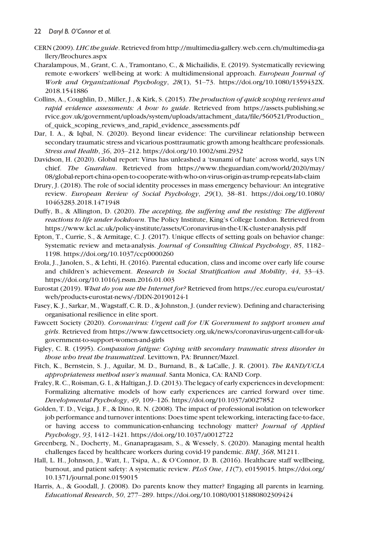- CERN (2009). LHC the guide. Retrieved from [http://multimedia-gallery.web.cern.ch/multimedia-ga](http://multimedia-gallery.web.cern.ch/multimedia-gallery/Brochures.aspx) [llery/Brochures.aspx](http://multimedia-gallery.web.cern.ch/multimedia-gallery/Brochures.aspx)
- Charalampous, M., Grant, C. A., Tramontano, C., & Michailidis, E. (2019). Systematically reviewing remote e-workers' well-being at work: A multidimensional approach. *European Journal of* Work and Organizational Psychology, 28(1), 51–73. [https://doi.org/10.1080/1359432X.](https://doi.org/10.1080/1359432X.2018.1541886) [2018.1541886](https://doi.org/10.1080/1359432X.2018.1541886)
- Collins, A., Coughlin, D., Miller, J., & Kirk, S. (2015). The production of quick scoping reviews and rapid evidence assessments: A how to guide. Retrieved from [https://assets.publishing.se](https://assets.publishing.service.gov.uk/government/uploads/system/uploads/attachment_data/file/560521/Production_of_quick_scoping_reviews_and_rapid_evidence_assessments.pdf) [rvice.gov.uk/government/uploads/system/uploads/attachment\\_data/file/560521/Production\\_](https://assets.publishing.service.gov.uk/government/uploads/system/uploads/attachment_data/file/560521/Production_of_quick_scoping_reviews_and_rapid_evidence_assessments.pdf) [of\\_quick\\_scoping\\_reviews\\_and\\_rapid\\_evidence\\_assessments.pdf](https://assets.publishing.service.gov.uk/government/uploads/system/uploads/attachment_data/file/560521/Production_of_quick_scoping_reviews_and_rapid_evidence_assessments.pdf)
- Dar, I. A., & Iqbal, N. (2020). Beyond linear evidence: The curvilinear relationship between secondary traumatic stress and vicarious posttraumatic growth among healthcare professionals. Stress and Health, 36, 203–212.<https://doi.org/10.1002/smi.2932>
- Davidson, H. (2020). Global report: Virus has unleashed a 'tsunami of hate' across world, says UN chief. The Guardian. Retrieved from [https://www.theguardian.com/world/2020/may/](https://www.theguardian.com/world/2020/may/08/global-report-china-open-to-cooperate-with-who-on-virus-origin-as-trump-repeats-lab-claim) [08/global-report-china-open-to-cooperate-with-who-on-virus-origin-as-trump-repeats-lab-claim](https://www.theguardian.com/world/2020/may/08/global-report-china-open-to-cooperate-with-who-on-virus-origin-as-trump-repeats-lab-claim)
- Drury, J. (2018). The role of social identity processes in mass emergency behaviour: An integrative review. European Review of Social Psychology, 29(1), 38–81. [https://doi.org/10.1080/](https://doi.org/10.1080/10463283.2018.1471948) [10463283.2018.1471948](https://doi.org/10.1080/10463283.2018.1471948)
- Duffy, B., & Allington, D. (2020). The accepting, the suffering and the resisting: The different reactions to life under lockdown. The Policy Institute, King's College London. Retrieved from <https://www.kcl.ac.uk/policy-institute/assets/Coronavirus-in-the-UK-cluster-analysis.pdf>
- Epton, T., Currie, S., & Armitage, C. J. (2017). Unique effects of setting goals on behavior change: Systematic review and meta-analysis. Journal of Consulting Clinical Psychology, 85, 1182– 1198.<https://doi.org/10.1037/ccp0000260>
- Erola, J., Janolen, S., & Lehti, H. (2016). Parental education, class and income over early life course and children's achievement. Research in Social Stratification and Mobility, 44, 33-43. <https://doi.org/10.1016/j.rssm.2016.01.003>
- Eurostat (2019). What do you use the Internet for? Retrieved from [https://ec.europa.eu/eurostat/](https://ec.europa.eu/eurostat/web/products-eurostat-news/-/DDN-20190124-1) [web/products-eurostat-news/-/DDN-20190124-1](https://ec.europa.eu/eurostat/web/products-eurostat-news/-/DDN-20190124-1)
- Fasey, K. J., Sarkar, M., Wagstaff, C. R. D., & Johnston, J. (under review). Defining and characterising organisational resilience in elite sport.
- Fawcett Society (2020). Coronavirus: Urgent call for UK Government to support women and girls. Retrieved from [https://www.fawcettsociety.org.uk/news/coronavirus-urgent-call-for-uk](https://www.fawcettsociety.org.uk/news/coronavirus-urgent-call-for-uk-government-to-support-women-and-girls)[government-to-support-women-and-girls](https://www.fawcettsociety.org.uk/news/coronavirus-urgent-call-for-uk-government-to-support-women-and-girls)
- Figley, C. R. (1995). Compassion fatigue: Coping with secondary traumatic stress disorder in those who treat the traumatized. Levittown, PA: Brunner/Mazel.
- Fitch, K., Bernstein, S. J., Aguilar, M. D., Burnand, B., & LaCalle, J. R. (2001). The RAND/UCLA appropriateness method user's manual. Santa Monica, CA: RAND Corp.
- Fraley, R. C., Roisman, G. I., & Haltigan, J. D. (2013). The legacy of early experiences in development: Formalizing alternative models of how early experiences are carried forward over time. Developmental Psychology, 49, 109–126.<https://doi.org/10.1037/a0027852>
- Golden, T. D., Veiga, J. F., & Dino, R. N. (2008). The impact of professional isolation on teleworker job performance and turnover intentions: Does time spent teleworking, interacting face-to-face, or having access to communication-enhancing technology matter? Journal of Applied Psychology, 93, 1412–1421.<https://doi.org/10.1037/a0012722>
- Greenberg, N., Docherty, M., Gnanapragasam, S., & Wessely, S. (2020). Managing mental health challenges faced by healthcare workers during covid-19 pandemic. BMJ, 368, M1211.
- Hall, L. H., Johnson, J., Watt, I., Tsipa, A., & O'Connor, D. B. (2016). Healthcare staff wellbeing, burnout, and patient safety: A systematic review. PLoS One, 11(7), e0159015. [https://doi.org/](https://doi.org/10.1371/journal.pone.0159015) [10.1371/journal.pone.0159015](https://doi.org/10.1371/journal.pone.0159015)
- Harris, A., & Goodall, J. (2008). Do parents know they matter? Engaging all parents in learning. Educational Research, 50, 277–289.<https://doi.org/10.1080/00131880802309424>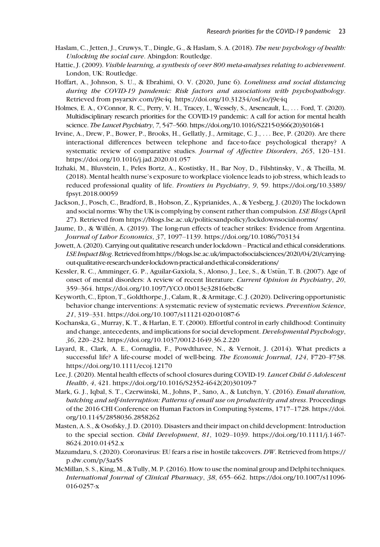- Haslam, C., Jetten, J., Cruwys, T., Dingle, G., & Haslam, S. A. (2018). The new psychology of health: Unlocking the social cure. Abingdon: Routledge.
- Hattie, J. (2009). Visible learning, a synthesis of over 800 meta-analyses relating to achievement. London, UK: Routledge.
- Hoffart, A., Johnson, S. U., & Ebrahimi, O. V. (2020, June 6). Loneliness and social distancing during the COVID-19 pandemic: Risk factors and associations with psychopathology. Retrieved from [psyarxiv.com/j9e4q.](http://psyarxiv.com/j9e4q)<https://doi.org/10.31234/osf.io/j9e4q>
- Holmes, E. A., O'Connor, R. C., Perry, V. H., Tracey, I., Wessely, S., Arseneault, L., ... Ford, T. (2020). Multidisciplinary research priorities for the COVID-19 pandemic: A call for action for mental health science. The Lancet Psychiatry, 7, 547–560. [https://doi.org/10.1016/S2215-0366\(20\)30168-1](https://doi.org/10.1016/S2215-0366(20)30168-1)
- Irvine, A., Drew, P., Bower, P., Brooks, H., Gellatly, J., Armitage, C. J., ... Bee, P. (2020). Are there interactional differences between telephone and face-to-face psychological therapy? A systematic review of comparative studies. *Journal of Affective Disorders*, 265, 120–131. <https://doi.org/10.1016/j.jad.2020.01.057>
- Itzhaki, M., Bluvstein, I., Peles Bortz, A., Kostistky, H., Bar Noy, D., Filshtinsky, V., & Theilla, M. (2018). Mental health nurse's exposure to workplace violence leads to job stress, which leads to reduced professional quality of life. Frontiers in Psychiatry, 9, 59. [https://doi.org/10.3389/](https://doi.org/10.3389/fpsyt.2018.00059) [fpsyt.2018.00059](https://doi.org/10.3389/fpsyt.2018.00059)
- Jackson, J., Posch, C., Bradford, B., Hobson, Z., Kyprianides, A., & Yesberg, J. (2020) The lockdown and social norms: Why the UK is complying by consent rather than compulsion. LSE Blogs(April 27). Retrieved from<https://blogs.lse.ac.uk/politicsandpolicy/lockdownsocial-norms/>
- Jaume, D., & Willén, A. (2019). The long-run effects of teacher strikes: Evidence from Argentina. Journal of Labor Economics, 37, 1097–1139.<https://doi.org/10.1086/703134>
- Jowett, A. (2020). Carrying out qualitative research under lockdown Practical and ethical considerations. LSE ImpactBlog.Retrieved from [https://blogs.lse.ac.uk/impactofsocialsciences/2020/04/20/carrying](https://blogs.lse.ac.uk/impactofsocialsciences/2020/04/20/carrying-out-qualitative-research-under-lockdown-practical-and-ethical-considerations/)[out-qualitative-research-under-lockdown-practical-and-ethical-considerations/](https://blogs.lse.ac.uk/impactofsocialsciences/2020/04/20/carrying-out-qualitative-research-under-lockdown-practical-and-ethical-considerations/)
- Kessler, R. C., Amminger, G. P., Aguilar-Gaxiola, S., Alonso, J., Lee, S., & Ustün, T. B. (2007). Age of onset of mental disorders: A review of recent literature. Current Opinion in Psychiatry, 20, 359–364.<https://doi.org/10.1097/YCO.0b013e32816ebc8c>
- Keyworth, C., Epton, T., Goldthorpe, J., Calam, R., & Armitage, C. J. (2020). Delivering opportunistic behavior change interventions: A systematic review of systematic reviews. Prevention Science, 21, 319–331.<https://doi.org/10.1007/s11121-020-01087-6>
- Kochanska, G., Murray, K. T., & Harlan, E. T. (2000). Effortful control in early childhood: Continuity and change, antecedents, and implications for social development. Developmental Psychology, 36, 220–232.<https://doi.org/10.1037/0012-1649.36.2.220>
- Layard, R., Clark, A. E., Cornaglia, F., Powdthavee, N., & Vernoit, J. (2014). What predicts a successful life? A life-course model of well-being. The Economic Journal, 124, F720–F738. <https://doi.org/10.1111/ecoj.12170>
- Lee, J. (2020). Mental health effects of school closures during COVID-19. Lancet Child & Adolescent Health, 4, 421. [https://doi.org/10.1016/S2352-4642\(20\)30109-7](https://doi.org/10.1016/S2352-4642(20)30109-7)
- Mark, G. J., Iqbal, S. T., Czerwinski, M., Johns, P., Sano, A., & Lutchyn, Y. (2016). Email duration, batching and self-interruption: Patterns of email use on productivity and stress. Proceedings of the 2016 CHI Conference on Human Factors in Computing Systems, 1717–1728. [https://doi.](https://doi.org/10.1145/2858036.2858262) [org/10.1145/2858036.2858262](https://doi.org/10.1145/2858036.2858262)
- Masten, A. S., & Osofsky, J. D. (2010). Disasters and their impact on child development: Introduction to the special section. Child Development, 81, 1029–1039. [https://doi.org/10.1111/j.1467-](https://doi.org/10.1111/j.1467-8624.2010.01452.x) [8624.2010.01452.x](https://doi.org/10.1111/j.1467-8624.2010.01452.x)
- Mazumdaru, S. (2020). Coronavirus: EU fears a rise in hostile takeovers. DW. Retrieved from [https://](https://p.dw.com/p/3aa5S) [p.dw.com/p/3aa5S](https://p.dw.com/p/3aa5S)
- McMillan, S. S., King, M., & Tully, M. P. (2016). How to use the nominal group and Delphi techniques. International Journal of Clinical Pharmacy, 38, 655–662. [https://doi.org/10.1007/s11096-](https://doi.org/10.1007/s11096-016-0257-x) [016-0257-x](https://doi.org/10.1007/s11096-016-0257-x)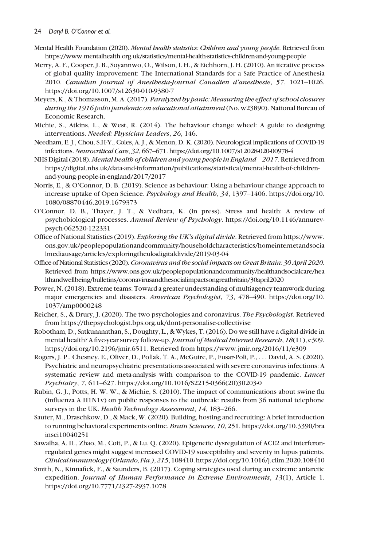#### 24 Daryl B. O'Connor et al.

- Mental Health Foundation (2020). Mental health statistics: Children and young people. Retrieved from <https://www.mentalhealth.org.uk/statistics/mental-health-statistics-children-and-young-people>
- Merry, A. F., Cooper, J. B., Soyannwo, O., Wilson, I. H., & Eichhorn, J. H. (2010). An iterative process of global quality improvement: The International Standards for a Safe Practice of Anesthesia 2010. Canadian Journal of Anesthesia-Journal Canadien d'anesthesie, 57, 1021–1026. <https://doi.org/10.1007/s12630-010-9380-7>
- Meyers, K., & Thomasson, M. A. (2017). Paralyzed by panic: Measuring the effect of school closures during the 1916 polio pandemic on educational attainment (No. w23890). National Bureau of Economic Research.
- Michie, S., Atkins, L., & West, R. (2014). The behaviour change wheel: A guide to designing interventions. Needed: Physician Leaders, 26, 146.
- Needham, E. J., Chou, S.H-Y., Coles, A. J., & Menon, D. K. (2020). Neurological implications of COVID-19 infections. Neurocritical Care, 32, 667–671.<https://doi.org/10.1007/s12028-020-00978-4>
- NHS Digital (2018). Mental health of children and young people in England 2017. Retrieved from [https://digital.nhs.uk/data-and-information/publications/statistical/mental-health-of-children](https://digital.nhs.uk/data-and-information/publications/statistical/mental-health-of-children-and-young-people-in-england/2017/2017)[and-young-people-in-england/2017/2017](https://digital.nhs.uk/data-and-information/publications/statistical/mental-health-of-children-and-young-people-in-england/2017/2017)
- Norris, E., & O'Connor, D. B. (2019). Science as behaviour: Using a behaviour change approach to increase uptake of Open Science. Psychology and Health, 34, 1397–1406. [https://doi.org/10.](https://doi.org/10.1080/08870446.2019.1679373) [1080/08870446.2019.1679373](https://doi.org/10.1080/08870446.2019.1679373)
- O'Connor, D. B., Thayer, J. T., & Vedhara, K. (in press). Stress and health: A review of psychobiological processes. Annual Review of Psychology. [https://doi.org/10.1146/annurev](https://doi.org/10.1146/annurev-psych-062520-122331)[psych-062520-122331](https://doi.org/10.1146/annurev-psych-062520-122331)
- Office of National Statistics (2019). Exploring the UK's digital divide. Retrieved from [https://www.](https://www.ons.gov.uk/peoplepopulationandcommunity/householdcharacteristics/homeinternetandsocialmediausage/articles/exploringtheuksdigitaldivide/2019-03-04) [ons.gov.uk/peoplepopulationandcommunity/householdcharacteristics/homeinternetandsocia](https://www.ons.gov.uk/peoplepopulationandcommunity/householdcharacteristics/homeinternetandsocialmediausage/articles/exploringtheuksdigitaldivide/2019-03-04) [lmediausage/articles/exploringtheuksdigitaldivide/2019-03-04](https://www.ons.gov.uk/peoplepopulationandcommunity/householdcharacteristics/homeinternetandsocialmediausage/articles/exploringtheuksdigitaldivide/2019-03-04)
- Office of National Statistics (2020). Coronavirus and the social impacts on Great Britain: 30 April 2020. Retrieved from [https://www.ons.gov.uk/peoplepopulationandcommunity/healthandsocialcare/hea](https://www.ons.gov.uk/peoplepopulationandcommunity/healthandsocialcare/healthandwellbeing/bulletins/coronavirusandthesocialimpactsongreatbritain/30april2020) [lthandwellbeing/bulletins/coronavirusandthesocialimpactsongreatbritain/30april2020](https://www.ons.gov.uk/peoplepopulationandcommunity/healthandsocialcare/healthandwellbeing/bulletins/coronavirusandthesocialimpactsongreatbritain/30april2020)
- Power, N. (2018). Extreme teams: Toward a greater understanding of multiagency teamwork during major emergencies and disasters. American Psychologist, 73, 478–490. [https://doi.org/10.](https://doi.org/10.1037/amp0000248) [1037/amp0000248](https://doi.org/10.1037/amp0000248)
- Reicher, S., & Drury, J. (2020). The two psychologies and coronavirus. The Psychologist. Retrieved from<https://thepsychologist.bps.org.uk/dont-personalise-collectivise>
- Robotham, D., Satkunanathan, S., Doughty, L., & Wykes, T. (2016). Do we still have a digital divide in mental health? A five-year survey follow-up. Journal of Medical Internet Research, 18(11), e309. <https://doi.org/10.2196/jmir.6511>. Retrieved from<https://www.jmir.org/2016/11/e309>
- Rogers, J. P., Chesney, E., Oliver, D., Pollak, T. A., McGuire, P., Fusar-Poli, P., ... David, A. S. (2020). Psychiatric and neuropsychiatric presentations associated with severe coronavirus infections: A systematic review and meta-analysis with comparison to the COVID-19 pandemic. Lancet Psychiatry, 7, 611–627. [https://doi.org/10.1016/S2215-0366\(20\)30203-0](https://doi.org/10.1016/S2215-0366(20)30203-0)
- Rubin, G. J., Potts, H. W. W., & Michie, S. (2010). The impact of communications about swine flu (influenza A H1N1v) on public responses to the outbreak: results from 36 national telephone surveys in the UK. Health Technology Assessment, 14, 183-266.
- Sauter, M., Draschkow, D., & Mack, W. (2020). Building, hosting and recruiting: A brief introduction to running behavioral experiments online. Brain Sciences, 10, 251. [https://doi.org/10.3390/bra](https://doi.org/10.3390/brainsci10040251) [insci10040251](https://doi.org/10.3390/brainsci10040251)
- Sawalha, A. H., Zhao, M., Coit, P., & Lu, Q. (2020). Epigenetic dysregulation of ACE2 and interferonregulated genes might suggest increased COVID-19 susceptibility and severity in lupus patients. Clinical immunology (Orlando, Fla.),215, 108410.<https://doi.org/10.1016/j.clim.2020.108410>
- Smith, N., Kinnafick, F., & Saunders, B. (2017). Coping strategies used during an extreme antarctic expedition. Journal of Human Performance in Extreme Environments, 13(1), Article 1. <https://doi.org/10.7771/2327-2937.1078>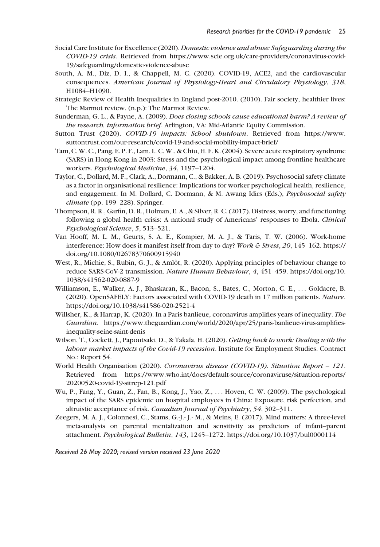- Social Care Institute for Excellence (2020). Domestic violence and abuse: Safeguarding during the COVID-19 crisis. Retrieved from [https://www.scie.org.uk/care-providers/coronavirus-covid-](https://www.scie.org.uk/care-providers/coronavirus-covid-19/safeguarding/domestic-violence-abuse)[19/safeguarding/domestic-violence-abuse](https://www.scie.org.uk/care-providers/coronavirus-covid-19/safeguarding/domestic-violence-abuse)
- South, A. M., Diz, D. I., & Chappell, M. C. (2020). COVID-19, ACE2, and the cardiovascular consequences. American Journal of Physiology-Heart and Circulatory Physiology, 318, H1084–H1090.
- Strategic Review of Health Inequalities in England post-2010. (2010). Fair society, healthier lives: The Marmot review. (n.p.): The Marmot Review.
- Sunderman, G. L., & Payne, A. (2009). Does closing schools cause educational harm? A review of the research. information brief. Arlington, VA: Mid-Atlantic Equity Commission.
- Sutton Trust (2020). COVID-19 impacts: School shutdown. Retrieved from [https://www.](https://www.suttontrust.com/our-research/covid-19-and-social-mobility-impact-brief/) [suttontrust.com/our-research/covid-19-and-social-mobility-impact-brief/](https://www.suttontrust.com/our-research/covid-19-and-social-mobility-impact-brief/)
- Tam, C.W. C., Pang, E. P. F., Lam, L. C.W., & Chiu, H. F. K. (2004). Severe acute respiratory syndrome (SARS) in Hong Kong in 2003: Stress and the psychological impact among frontline healthcare workers. Psychological Medicine, 34, 1197–1204.
- Taylor, C., Dollard, M. F., Clark, A., Dormann, C., & Bakker, A. B. (2019). Psychosocial safety climate as a factor in organisational resilience: Implications for worker psychological health, resilience, and engagement. In M. Dollard, C. Dormann, & M. Awang Idirs (Eds.), Psychosocial safety climate (pp. 199–228). Springer.
- Thompson, R. R., Garfin, D. R., Holman, E. A., & Silver, R. C. (2017). Distress, worry, and functioning following a global health crisis: A national study of Americans' responses to Ebola. Clinical Psychological Science, 5, 513–521.
- Van Hooff, M. L. M., Geurts, S. A. E., Kompier, M. A. J., & Taris, T. W. (2006). Work-home interference: How does it manifest itself from day to day? Work & Stress, 20, 145–162. [https://](https://doi.org/10.1080/02678370600915940) [doi.org/10.1080/02678370600915940](https://doi.org/10.1080/02678370600915940)
- West, R., Michie, S., Rubin, G. J., & Amlôt, R. (2020). Applying principles of behaviour change to reduce SARS-CoV-2 transmission. Nature Human Behaviour, 4, 451–459. [https://doi.org/10.](https://doi.org/10.1038/s41562-020-0887-9) [1038/s41562-020-0887-9](https://doi.org/10.1038/s41562-020-0887-9)
- Williamson, E., Walker, A. J., Bhaskaran, K., Bacon, S., Bates, C., Morton, C. E., ... Goldacre, B. (2020). OpenSAFELY: Factors associated with COVID-19 death in 17 million patients. Nature. <https://doi.org/10.1038/s41586-020-2521-4>
- Willsher, K., & Harrap, K. (2020). In a Paris banlieue, coronavirus amplifies years of inequality. The Guardian. [https://www.theguardian.com/world/2020/apr/25/paris-banlieue-virus-amplifies](https://www.theguardian.com/world/2020/apr/25/paris-banlieue-virus-amplifies-inequality-seine-saint-denis)[inequality-seine-saint-denis](https://www.theguardian.com/world/2020/apr/25/paris-banlieue-virus-amplifies-inequality-seine-saint-denis)
- Wilson, T., Cockett, J., Papoutsaki, D., & Takala, H. (2020). Getting back to work: Dealing with the labour market impacts of the Covid-19 recession. Institute for Employment Studies. Contract No.: Report 54.
- World Health Organisation (2020). Coronavirus disease (COVID-19). Situation Report 121. Retrieved from [https://www.who.int/docs/default-source/coronaviruse/situation-reports/](https://www.who.int/docs/default-source/coronaviruse/situation-reports/20200520-covid-19-sitrep-121.pdf) [20200520-covid-19-sitrep-121.pdf](https://www.who.int/docs/default-source/coronaviruse/situation-reports/20200520-covid-19-sitrep-121.pdf)
- Wu, P., Fang, Y., Guan, Z., Fan, B., Kong, J., Yao, Z., ... Hoven, C. W. (2009). The psychological impact of the SARS epidemic on hospital employees in China: Exposure, risk perfection, and altruistic acceptance of risk. Canadian Journal of Psychiatry, 54, 302–311.
- Zeegers, M. A. J., Colonnesi, C., Stams, G. J.- J.- M., & Meins, E. (2017). Mind matters: A three-level meta-analysis on parental mentalization and sensitivity as predictors of infant–parent attachment. Psychological Bulletin, 143, 1245–1272.<https://doi.org/10.1037/bul0000114>

Received 26 May 2020; revised version received 23 June 2020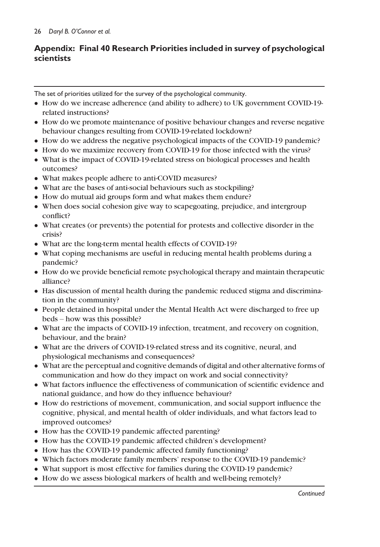# Appendix: Final 40 Research Priorities included in survey of psychological scientists

The set of priorities utilized for the survey of the psychological community.

- How do we increase adherence (and ability to adhere) to UK government COVID-19 related instructions?
- How do we promote maintenance of positive behaviour changes and reverse negative behaviour changes resulting from COVID-19-related lockdown?
- How do we address the negative psychological impacts of the COVID-19 pandemic?
- How do we maximize recovery from COVID-19 for those infected with the virus?
- What is the impact of COVID-19-related stress on biological processes and health outcomes?
- What makes people adhere to anti-COVID measures?
- What are the bases of anti-social behaviours such as stockpiling?
- How do mutual aid groups form and what makes them endure?
- When does social cohesion give way to scapegoating, prejudice, and intergroup conflict?
- What creates (or prevents) the potential for protests and collective disorder in the crisis?
- What are the long-term mental health effects of COVID-19?
- What coping mechanisms are useful in reducing mental health problems during a pandemic?
- How do we provide beneficial remote psychological therapy and maintain therapeutic alliance?
- Has discussion of mental health during the pandemic reduced stigma and discrimination in the community?
- People detained in hospital under the Mental Health Act were discharged to free up beds – how was this possible?
- What are the impacts of COVID-19 infection, treatment, and recovery on cognition, behaviour, and the brain?
- What are the drivers of COVID-19-related stress and its cognitive, neural, and physiological mechanisms and consequences?
- What are the perceptual and cognitive demands of digital and other alternative forms of communication and how do they impact on work and social connectivity?
- What factors influence the effectiveness of communication of scientific evidence and national guidance, and how do they influence behaviour?
- How do restrictions of movement, communication, and social support influence the cognitive, physical, and mental health of older individuals, and what factors lead to improved outcomes?
- How has the COVID-19 pandemic affected parenting?
- How has the COVID-19 pandemic affected children's development?
- How has the COVID-19 pandemic affected family functioning?
- Which factors moderate family members' response to the COVID-19 pandemic?
- What support is most effective for families during the COVID-19 pandemic?
- How do we assess biological markers of health and well-being remotely?